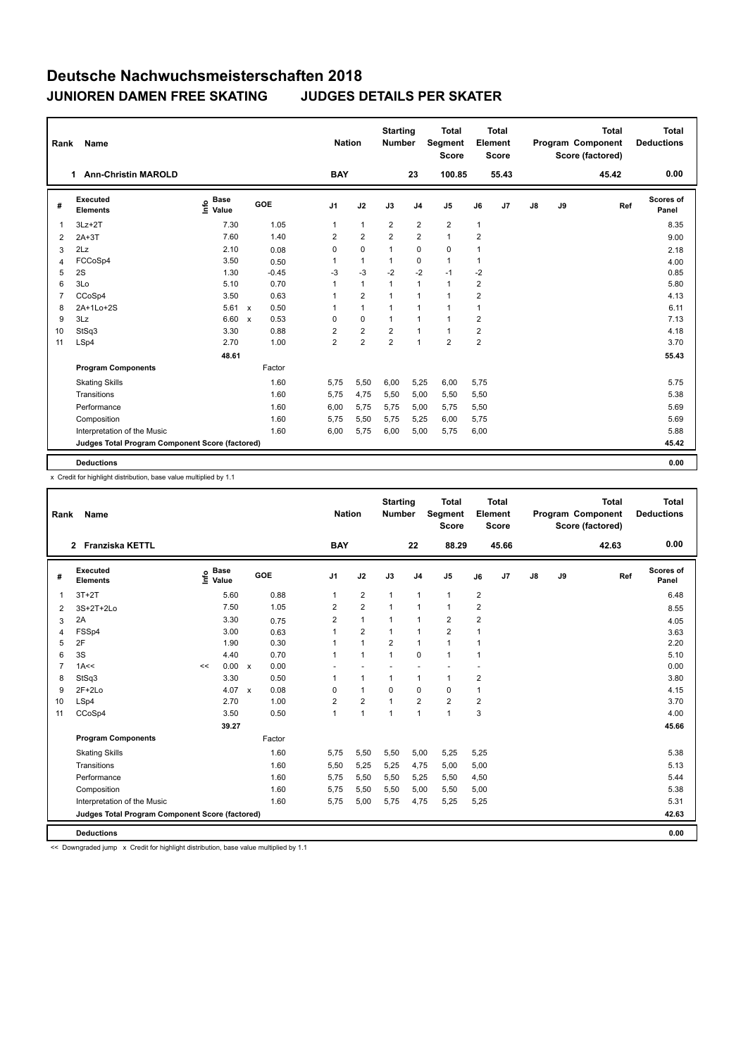| Rank           | Name                                            |                                     |                           |         | <b>Nation</b>  |                | <b>Starting</b><br><b>Number</b> |                | <b>Total</b><br>Segment<br><b>Score</b> |                | <b>Total</b><br>Element<br><b>Score</b> |               |    | <b>Total</b><br>Program Component<br>Score (factored) | Total<br><b>Deductions</b> |
|----------------|-------------------------------------------------|-------------------------------------|---------------------------|---------|----------------|----------------|----------------------------------|----------------|-----------------------------------------|----------------|-----------------------------------------|---------------|----|-------------------------------------------------------|----------------------------|
|                | <b>Ann-Christin MAROLD</b><br>$\mathbf 1$       |                                     |                           |         | <b>BAY</b>     |                |                                  | 23             | 100.85                                  |                | 55.43                                   |               |    | 45.42                                                 | 0.00                       |
| #              | Executed<br><b>Elements</b>                     | <b>Base</b><br><u>info</u><br>Value |                           | GOE     | J <sub>1</sub> | J2             | J3                               | J <sub>4</sub> | J <sub>5</sub>                          | J6             | J <sub>7</sub>                          | $\mathsf{J}8$ | J9 | Ref                                                   | Scores of<br>Panel         |
| 1              | $3Lz + 2T$                                      | 7.30                                |                           | 1.05    | 1              | $\mathbf{1}$   | $\overline{2}$                   | $\overline{2}$ | $\overline{2}$                          | $\mathbf{1}$   |                                         |               |    |                                                       | 8.35                       |
| 2              | $2A+3T$                                         | 7.60                                |                           | 1.40    | 2              | $\overline{2}$ | $\overline{2}$                   | $\overline{2}$ | $\mathbf{1}$                            | 2              |                                         |               |    |                                                       | 9.00                       |
| 3              | 2Lz                                             | 2.10                                |                           | 0.08    | 0              | $\mathbf 0$    | $\mathbf{1}$                     | $\mathbf 0$    | $\mathbf 0$                             | 1              |                                         |               |    |                                                       | 2.18                       |
| 4              | FCCoSp4                                         | 3.50                                |                           | 0.50    | 1              | $\mathbf{1}$   | $\mathbf{1}$                     | $\mathbf 0$    | $\mathbf{1}$                            | $\mathbf{1}$   |                                         |               |    |                                                       | 4.00                       |
| 5              | 2S                                              | 1.30                                |                           | $-0.45$ | $-3$           | $-3$           | $-2$                             | $-2$           | $-1$                                    | $-2$           |                                         |               |    |                                                       | 0.85                       |
| 6              | 3Lo                                             | 5.10                                |                           | 0.70    | 1              | $\mathbf{1}$   | $\mathbf{1}$                     | $\mathbf{1}$   | $\mathbf{1}$                            | $\overline{2}$ |                                         |               |    |                                                       | 5.80                       |
| $\overline{7}$ | CCoSp4                                          | 3.50                                |                           | 0.63    | 1              | $\overline{2}$ | $\overline{1}$                   | $\mathbf{1}$   | $\mathbf{1}$                            | $\overline{2}$ |                                         |               |    |                                                       | 4.13                       |
| 8              | 2A+1Lo+2S                                       | 5.61                                | $\boldsymbol{\mathsf{x}}$ | 0.50    |                | $\mathbf{1}$   | $\overline{1}$                   | $\mathbf{1}$   | $\mathbf{1}$                            | 1              |                                         |               |    |                                                       | 6.11                       |
| 9              | 3Lz                                             | 6.60                                | $\boldsymbol{\mathsf{x}}$ | 0.53    | 0              | $\mathbf 0$    | $\mathbf{1}$                     | $\overline{1}$ | $\mathbf{1}$                            | $\overline{2}$ |                                         |               |    |                                                       | 7.13                       |
| 10             | StSq3                                           | 3.30                                |                           | 0.88    | $\overline{2}$ | $\overline{2}$ | $\overline{2}$                   | $\mathbf{1}$   | $\mathbf{1}$                            | $\overline{2}$ |                                         |               |    |                                                       | 4.18                       |
| 11             | LSp4                                            | 2.70                                |                           | 1.00    | $\overline{2}$ | $\overline{2}$ | $\overline{2}$                   | $\mathbf{1}$   | $\overline{2}$                          | $\overline{2}$ |                                         |               |    |                                                       | 3.70                       |
|                |                                                 | 48.61                               |                           |         |                |                |                                  |                |                                         |                |                                         |               |    |                                                       | 55.43                      |
|                | <b>Program Components</b>                       |                                     |                           | Factor  |                |                |                                  |                |                                         |                |                                         |               |    |                                                       |                            |
|                | <b>Skating Skills</b>                           |                                     |                           | 1.60    | 5,75           | 5,50           | 6,00                             | 5,25           | 6,00                                    | 5,75           |                                         |               |    |                                                       | 5.75                       |
|                | Transitions                                     |                                     |                           | 1.60    | 5,75           | 4,75           | 5,50                             | 5,00           | 5,50                                    | 5,50           |                                         |               |    |                                                       | 5.38                       |
|                | Performance                                     |                                     |                           | 1.60    | 6,00           | 5,75           | 5,75                             | 5,00           | 5,75                                    | 5,50           |                                         |               |    |                                                       | 5.69                       |
|                | Composition                                     |                                     |                           | 1.60    | 5.75           | 5,50           | 5,75                             | 5,25           | 6,00                                    | 5,75           |                                         |               |    |                                                       | 5.69                       |
|                | Interpretation of the Music                     |                                     |                           | 1.60    | 6,00           | 5,75           | 6,00                             | 5,00           | 5,75                                    | 6,00           |                                         |               |    |                                                       | 5.88                       |
|                | Judges Total Program Component Score (factored) |                                     |                           |         |                |                |                                  |                |                                         |                |                                         |               |    |                                                       | 45.42                      |
|                | <b>Deductions</b>                               |                                     |                           |         |                |                |                                  |                |                                         |                |                                         |               |    |                                                       | 0.00                       |

x Credit for highlight distribution, base value multiplied by 1.1

| Rank           | Name                                            |      |                      |              |      | <b>Nation</b>  |                         | <b>Starting</b><br><b>Number</b> |                | <b>Total</b><br>Segment<br><b>Score</b> |                         | Total<br>Element<br><b>Score</b> |               |    | <b>Total</b><br>Program Component<br>Score (factored) |     | <b>Total</b><br><b>Deductions</b> |
|----------------|-------------------------------------------------|------|----------------------|--------------|------|----------------|-------------------------|----------------------------------|----------------|-----------------------------------------|-------------------------|----------------------------------|---------------|----|-------------------------------------------------------|-----|-----------------------------------|
|                | 2 Franziska KETTL                               |      |                      |              |      | <b>BAY</b>     |                         |                                  | 22             | 88.29                                   |                         | 45.66                            |               |    | 42.63                                                 |     | 0.00                              |
| #              | <b>Executed</b><br><b>Elements</b>              | lnfo | <b>Base</b><br>Value | <b>GOE</b>   |      | J1             | J2                      | J3                               | J <sub>4</sub> | J <sub>5</sub>                          | J6                      | J <sub>7</sub>                   | $\mathsf{J}8$ | J9 |                                                       | Ref | Scores of<br>Panel                |
| 1              | $3T+2T$                                         |      | 5.60                 |              | 0.88 | 1              | $\overline{\mathbf{c}}$ | 1                                | $\mathbf{1}$   | $\mathbf{1}$                            | $\overline{\mathbf{c}}$ |                                  |               |    |                                                       |     | 6.48                              |
| 2              | 3S+2T+2Lo                                       |      | 7.50                 |              | 1.05 | 2              | $\overline{2}$          | $\mathbf{1}$                     | $\mathbf{1}$   | $\mathbf{1}$                            | $\overline{2}$          |                                  |               |    |                                                       |     | 8.55                              |
| 3              | 2A                                              |      | 3.30                 |              | 0.75 | $\overline{2}$ | $\mathbf{1}$            | 1                                | $\mathbf{1}$   | 2                                       | 2                       |                                  |               |    |                                                       |     | 4.05                              |
| 4              | FSSp4                                           |      | 3.00                 |              | 0.63 | 1              | $\overline{2}$          | 1                                | $\mathbf{1}$   | $\overline{2}$                          |                         |                                  |               |    |                                                       |     | 3.63                              |
| 5              | 2F                                              |      | 1.90                 |              | 0.30 | 1              | $\mathbf{1}$            | $\overline{2}$                   | $\mathbf{1}$   | $\mathbf{1}$                            | $\overline{1}$          |                                  |               |    |                                                       |     | 2.20                              |
| 6              | 3S                                              |      | 4.40                 |              | 0.70 | $\mathbf{1}$   | $\mathbf{1}$            | $\mathbf{1}$                     | $\Omega$       | $\mathbf{1}$                            | 1                       |                                  |               |    |                                                       |     | 5.10                              |
| $\overline{7}$ | 1A<<                                            | <<   | 0.00                 | $\mathsf{x}$ | 0.00 |                |                         |                                  |                |                                         |                         |                                  |               |    |                                                       |     | 0.00                              |
| 8              | StSq3                                           |      | 3.30                 |              | 0.50 | 1              | $\mathbf{1}$            | $\mathbf{1}$                     | $\mathbf{1}$   | $\mathbf{1}$                            | $\overline{2}$          |                                  |               |    |                                                       |     | 3.80                              |
| 9              | $2F+2Lo$                                        |      | 4.07                 | $\mathsf{x}$ | 0.08 | 0              | $\mathbf{1}$            | $\Omega$                         | 0              | 0                                       | 1                       |                                  |               |    |                                                       |     | 4.15                              |
| 10             | LSp4                                            |      | 2.70                 |              | 1.00 | $\overline{2}$ | $\overline{2}$          | 1                                | $\overline{2}$ | $\overline{\mathbf{c}}$                 | 2                       |                                  |               |    |                                                       |     | 3.70                              |
| 11             | CCoSp4                                          |      | 3.50                 |              | 0.50 | 1              | $\mathbf{1}$            | $\mathbf{1}$                     | $\mathbf{1}$   | 1                                       | 3                       |                                  |               |    |                                                       |     | 4.00                              |
|                |                                                 |      | 39.27                |              |      |                |                         |                                  |                |                                         |                         |                                  |               |    |                                                       |     | 45.66                             |
|                | <b>Program Components</b>                       |      |                      | Factor       |      |                |                         |                                  |                |                                         |                         |                                  |               |    |                                                       |     |                                   |
|                | <b>Skating Skills</b>                           |      |                      |              | 1.60 | 5,75           | 5,50                    | 5,50                             | 5,00           | 5,25                                    | 5,25                    |                                  |               |    |                                                       |     | 5.38                              |
|                | Transitions                                     |      |                      |              | 1.60 | 5,50           | 5,25                    | 5,25                             | 4,75           | 5,00                                    | 5,00                    |                                  |               |    |                                                       |     | 5.13                              |
|                | Performance                                     |      |                      |              | 1.60 | 5,75           | 5,50                    | 5,50                             | 5,25           | 5,50                                    | 4,50                    |                                  |               |    |                                                       |     | 5.44                              |
|                | Composition                                     |      |                      |              | 1.60 | 5,75           | 5,50                    | 5,50                             | 5,00           | 5,50                                    | 5,00                    |                                  |               |    |                                                       |     | 5.38                              |
|                | Interpretation of the Music                     |      |                      |              | 1.60 | 5,75           | 5,00                    | 5,75                             | 4,75           | 5,25                                    | 5,25                    |                                  |               |    |                                                       |     | 5.31                              |
|                | Judges Total Program Component Score (factored) |      |                      |              |      |                |                         |                                  |                |                                         |                         |                                  |               |    |                                                       |     | 42.63                             |
|                | <b>Deductions</b>                               |      |                      |              |      |                |                         |                                  |                |                                         |                         |                                  |               |    |                                                       |     | 0.00                              |

<< Downgraded jump x Credit for highlight distribution, base value multiplied by 1.1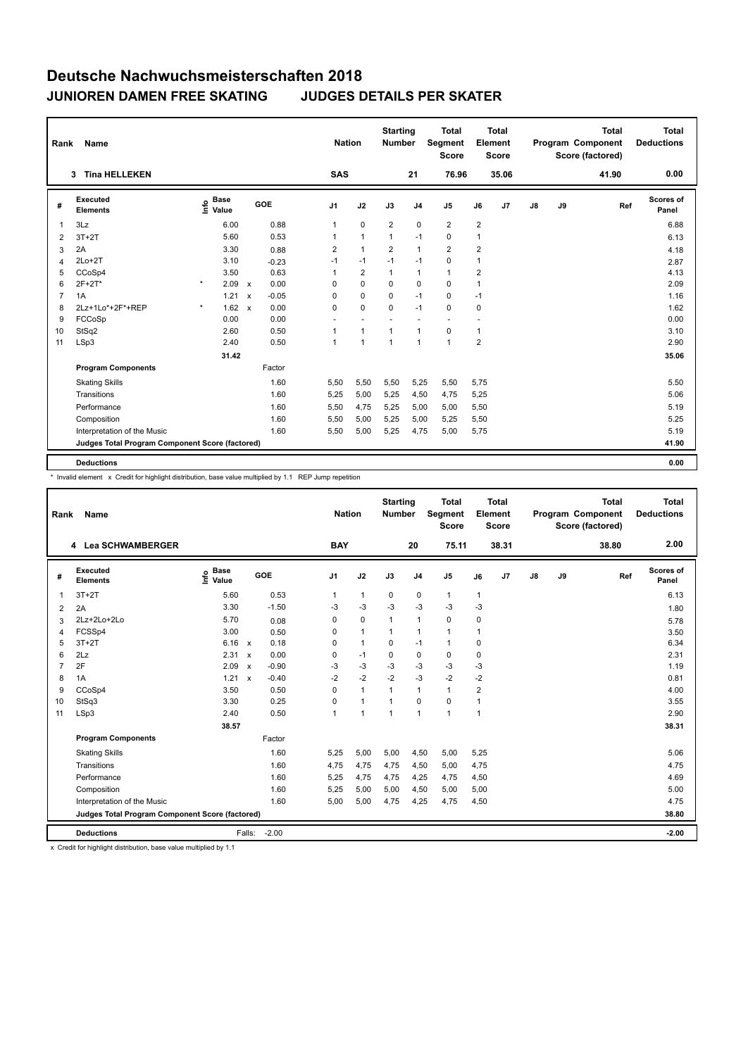| Rank           | <b>Name</b>                                     |         |                                           |                           |         | <b>Nation</b>  |                          | <b>Starting</b><br><b>Number</b> |                          | <b>Total</b><br><b>Segment</b><br><b>Score</b> |                | <b>Total</b><br>Element<br><b>Score</b> |    |    | <b>Total</b><br>Program Component<br>Score (factored) | <b>Total</b><br><b>Deductions</b> |
|----------------|-------------------------------------------------|---------|-------------------------------------------|---------------------------|---------|----------------|--------------------------|----------------------------------|--------------------------|------------------------------------------------|----------------|-----------------------------------------|----|----|-------------------------------------------------------|-----------------------------------|
|                | <b>Tina HELLEKEN</b><br>3                       |         |                                           |                           |         | <b>SAS</b>     |                          |                                  | 21                       | 76.96                                          |                | 35.06                                   |    |    | 41.90                                                 | 0.00                              |
| #              | Executed<br><b>Elements</b>                     |         | $\frac{e}{E}$ Base<br>$\frac{E}{E}$ Value |                           | GOE     | J <sub>1</sub> | J2                       | J3                               | J <sub>4</sub>           | J <sub>5</sub>                                 | J6             | J7                                      | J8 | J9 | Ref                                                   | <b>Scores of</b><br>Panel         |
| $\overline{1}$ | 3Lz                                             |         | 6.00                                      |                           | 0.88    | $\mathbf{1}$   | $\mathbf 0$              | $\overline{2}$                   | $\mathbf 0$              | $\overline{2}$                                 | $\overline{2}$ |                                         |    |    |                                                       | 6.88                              |
| 2              | $3T+2T$                                         |         | 5.60                                      |                           | 0.53    | 1              | $\mathbf{1}$             | $\mathbf{1}$                     | $-1$                     | 0                                              | 1              |                                         |    |    |                                                       | 6.13                              |
| 3              | 2A                                              |         | 3.30                                      |                           | 0.88    | $\overline{2}$ | $\mathbf{1}$             | $\overline{2}$                   | $\mathbf{1}$             | $\overline{2}$                                 | $\overline{2}$ |                                         |    |    |                                                       | 4.18                              |
| 4              | $2Lo+2T$                                        |         | 3.10                                      |                           | $-0.23$ | $-1$           | $-1$                     | $-1$                             | $-1$                     | $\Omega$                                       | 1              |                                         |    |    |                                                       | 2.87                              |
| 5              | CCoSp4                                          |         | 3.50                                      |                           | 0.63    | 1              | $\overline{2}$           | 1                                | $\mathbf{1}$             | $\mathbf{1}$                                   | $\overline{2}$ |                                         |    |    |                                                       | 4.13                              |
| 6              | $2F+2T^*$                                       | $\star$ | 2.09                                      | $\mathsf{x}$              | 0.00    | $\Omega$       | $\Omega$                 | $\Omega$                         | $\mathbf 0$              | $\Omega$                                       | 1              |                                         |    |    |                                                       | 2.09                              |
| $\overline{7}$ | 1A                                              |         | 1.21                                      | $\boldsymbol{\mathsf{x}}$ | $-0.05$ | 0              | $\mathbf 0$              | $\mathbf 0$                      | $-1$                     | $\mathbf 0$                                    | $-1$           |                                         |    |    |                                                       | 1.16                              |
| 8              | 2Lz+1Lo*+2F*+REP                                | $\star$ | 1.62                                      | $\boldsymbol{\mathsf{x}}$ | 0.00    | $\mathbf 0$    | $\mathbf 0$              | $\mathbf 0$                      | $-1$                     | $\mathbf 0$                                    | 0              |                                         |    |    |                                                       | 1.62                              |
| 9              | FCCoSp                                          |         | 0.00                                      |                           | 0.00    |                | $\overline{\phantom{a}}$ |                                  | $\overline{\phantom{a}}$ | $\overline{\phantom{a}}$                       |                |                                         |    |    |                                                       | 0.00                              |
| 10             | StSq2                                           |         | 2.60                                      |                           | 0.50    | 1              | $\mathbf{1}$             | $\mathbf{1}$                     | $\overline{1}$           | $\mathbf 0$                                    | $\mathbf{1}$   |                                         |    |    |                                                       | 3.10                              |
| 11             | LSp3                                            |         | 2.40                                      |                           | 0.50    | 1              | $\overline{1}$           | $\overline{1}$                   | $\overline{1}$           | $\mathbf{1}$                                   | $\overline{2}$ |                                         |    |    |                                                       | 2.90                              |
|                |                                                 |         | 31.42                                     |                           |         |                |                          |                                  |                          |                                                |                |                                         |    |    |                                                       | 35.06                             |
|                | <b>Program Components</b>                       |         |                                           |                           | Factor  |                |                          |                                  |                          |                                                |                |                                         |    |    |                                                       |                                   |
|                | <b>Skating Skills</b>                           |         |                                           |                           | 1.60    | 5,50           | 5,50                     | 5,50                             | 5,25                     | 5,50                                           | 5,75           |                                         |    |    |                                                       | 5.50                              |
|                | Transitions                                     |         |                                           |                           | 1.60    | 5,25           | 5,00                     | 5,25                             | 4,50                     | 4,75                                           | 5,25           |                                         |    |    |                                                       | 5.06                              |
|                | Performance                                     |         |                                           |                           | 1.60    | 5,50           | 4,75                     | 5,25                             | 5,00                     | 5,00                                           | 5,50           |                                         |    |    |                                                       | 5.19                              |
|                | Composition                                     |         |                                           |                           | 1.60    | 5,50           | 5,00                     | 5,25                             | 5,00                     | 5,25                                           | 5,50           |                                         |    |    |                                                       | 5.25                              |
|                | Interpretation of the Music                     |         |                                           |                           | 1.60    | 5,50           | 5,00                     | 5,25                             | 4,75                     | 5,00                                           | 5,75           |                                         |    |    |                                                       | 5.19                              |
|                | Judges Total Program Component Score (factored) |         |                                           |                           |         |                |                          |                                  |                          |                                                |                |                                         |    |    |                                                       | 41.90                             |
|                | <b>Deductions</b>                               |         |                                           |                           |         |                |                          |                                  |                          |                                                |                |                                         |    |    |                                                       | 0.00                              |

\* Invalid element x Credit for highlight distribution, base value multiplied by 1.1 REP Jump repetition

| Rank           | Name                                            |                              |                           |         | <b>Nation</b>  |                | <b>Starting</b><br><b>Number</b> |                | <b>Total</b><br>Segment<br><b>Score</b> |              | <b>Total</b><br>Element<br><b>Score</b> |    |    | <b>Total</b><br><b>Program Component</b><br>Score (factored) | <b>Total</b><br><b>Deductions</b> |
|----------------|-------------------------------------------------|------------------------------|---------------------------|---------|----------------|----------------|----------------------------------|----------------|-----------------------------------------|--------------|-----------------------------------------|----|----|--------------------------------------------------------------|-----------------------------------|
|                | 4 Lea SCHWAMBERGER                              |                              |                           |         | <b>BAY</b>     |                |                                  | 20             | 75.11                                   |              | 38.31                                   |    |    | 38.80                                                        | 2.00                              |
| #              | Executed<br><b>Elements</b>                     | <b>Base</b><br>١nfo<br>Value | GOE                       |         | J <sub>1</sub> | J2             | J3                               | J <sub>4</sub> | J <sub>5</sub>                          | J6           | J <sub>7</sub>                          | J8 | J9 | Ref                                                          | Scores of<br>Panel                |
| 1              | $3T+2T$                                         | 5.60                         |                           | 0.53    | $\mathbf{1}$   | $\mathbf{1}$   | $\mathbf 0$                      | $\mathbf 0$    | $\mathbf{1}$                            | $\mathbf{1}$ |                                         |    |    |                                                              | 6.13                              |
| 2              | 2A                                              | 3.30                         |                           | $-1.50$ | -3             | $-3$           | $-3$                             | $-3$           | $-3$                                    | $-3$         |                                         |    |    |                                                              | 1.80                              |
| 3              | 2Lz+2Lo+2Lo                                     | 5.70                         |                           | 0.08    | 0              | $\mathbf 0$    | $\mathbf{1}$                     | $\mathbf{1}$   | 0                                       | 0            |                                         |    |    |                                                              | 5.78                              |
| 4              | FCSSp4                                          | 3.00                         |                           | 0.50    | 0              | $\mathbf{1}$   | $\mathbf{1}$                     | $\mathbf{1}$   | $\mathbf{1}$                            | $\mathbf{1}$ |                                         |    |    |                                                              | 3.50                              |
| 5              | $3T+2T$                                         | 6.16                         | $\mathsf{x}$              | 0.18    | 0              | $\mathbf{1}$   | $\mathbf 0$                      | $-1$           | $\mathbf{1}$                            | 0            |                                         |    |    |                                                              | 6.34                              |
| 6              | 2Lz                                             | 2.31                         | $\mathsf{x}$              | 0.00    | 0              | $-1$           | $\mathbf 0$                      | $\mathbf 0$    | 0                                       | 0            |                                         |    |    |                                                              | 2.31                              |
| $\overline{7}$ | 2F                                              | 2.09                         | $\boldsymbol{\mathsf{x}}$ | $-0.90$ | $-3$           | $-3$           | $-3$                             | $-3$           | $-3$                                    | $-3$         |                                         |    |    |                                                              | 1.19                              |
| 8              | 1A                                              | 1.21                         | $\mathsf{x}$              | $-0.40$ | $-2$           | $-2$           | $-2$                             | $-3$           | $-2$                                    | $-2$         |                                         |    |    |                                                              | 0.81                              |
| 9              | CCoSp4                                          | 3.50                         |                           | 0.50    | $\Omega$       | $\mathbf{1}$   | 1                                | $\mathbf{1}$   | $\mathbf{1}$                            | 2            |                                         |    |    |                                                              | 4.00                              |
| 10             | StSq3                                           | 3.30                         |                           | 0.25    | 0              | $\overline{1}$ | $\overline{1}$                   | $\Omega$       | 0                                       | 1            |                                         |    |    |                                                              | 3.55                              |
| 11             | LSp3                                            | 2.40                         |                           | 0.50    | 1              | 1              | $\mathbf{1}$                     | $\mathbf{1}$   | 1                                       | $\mathbf{1}$ |                                         |    |    |                                                              | 2.90                              |
|                |                                                 | 38.57                        |                           |         |                |                |                                  |                |                                         |              |                                         |    |    |                                                              | 38.31                             |
|                | <b>Program Components</b>                       |                              |                           | Factor  |                |                |                                  |                |                                         |              |                                         |    |    |                                                              |                                   |
|                | <b>Skating Skills</b>                           |                              |                           | 1.60    | 5,25           | 5,00           | 5,00                             | 4,50           | 5,00                                    | 5,25         |                                         |    |    |                                                              | 5.06                              |
|                | Transitions                                     |                              |                           | 1.60    | 4,75           | 4.75           | 4.75                             | 4.50           | 5,00                                    | 4,75         |                                         |    |    |                                                              | 4.75                              |
|                | Performance                                     |                              |                           | 1.60    | 5,25           | 4,75           | 4,75                             | 4,25           | 4,75                                    | 4,50         |                                         |    |    |                                                              | 4.69                              |
|                | Composition                                     |                              |                           | 1.60    | 5,25           | 5,00           | 5,00                             | 4,50           | 5,00                                    | 5,00         |                                         |    |    |                                                              | 5.00                              |
|                | Interpretation of the Music                     |                              |                           | 1.60    | 5,00           | 5,00           | 4,75                             | 4,25           | 4,75                                    | 4,50         |                                         |    |    |                                                              | 4.75                              |
|                | Judges Total Program Component Score (factored) |                              |                           |         |                |                |                                  |                |                                         |              |                                         |    |    |                                                              | 38.80                             |
|                | <b>Deductions</b>                               |                              | Falls:                    | $-2.00$ |                |                |                                  |                |                                         |              |                                         |    |    |                                                              | $-2.00$                           |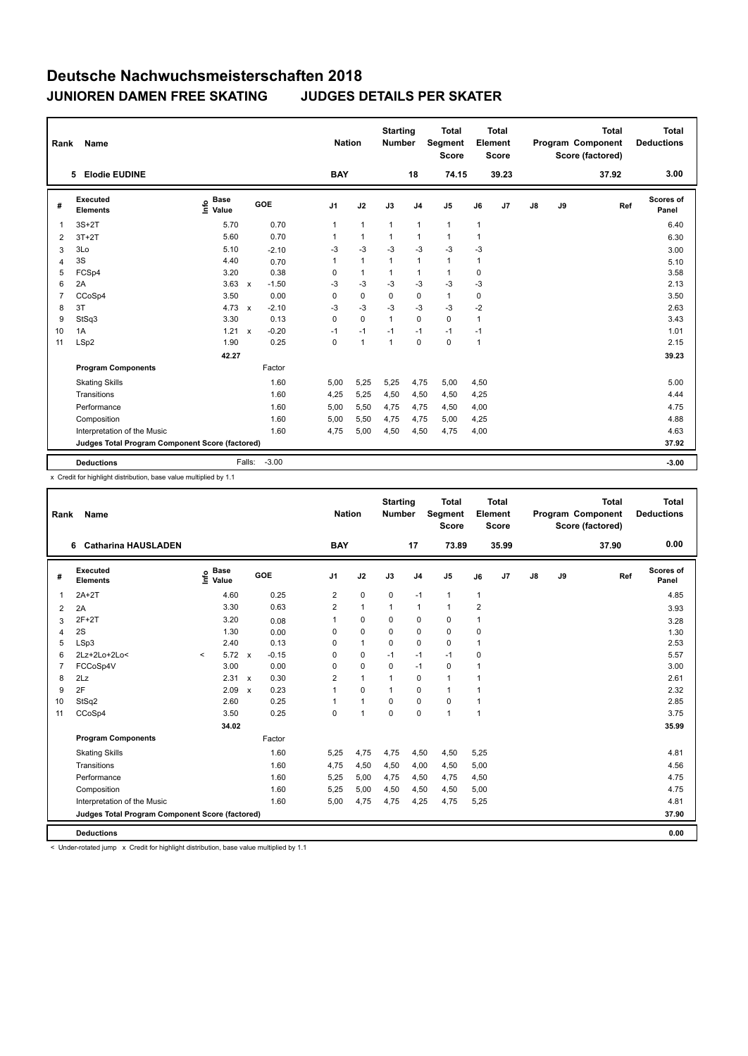| Rank           | Name                                            |                              |              |         | <b>Nation</b>  |                | <b>Starting</b><br><b>Number</b> |                | <b>Total</b><br><b>Segment</b><br><b>Score</b> |      | <b>Total</b><br>Element<br><b>Score</b> |    |    | <b>Total</b><br><b>Program Component</b><br>Score (factored) | Total<br><b>Deductions</b> |
|----------------|-------------------------------------------------|------------------------------|--------------|---------|----------------|----------------|----------------------------------|----------------|------------------------------------------------|------|-----------------------------------------|----|----|--------------------------------------------------------------|----------------------------|
|                | <b>Elodie EUDINE</b><br>5                       |                              |              |         | <b>BAY</b>     |                |                                  | 18             | 74.15                                          |      | 39.23                                   |    |    | 37.92                                                        | 3.00                       |
| #              | Executed<br><b>Elements</b>                     | <b>Base</b><br>١nfo<br>Value |              | GOE     | J <sub>1</sub> | J2             | J3                               | J <sub>4</sub> | J <sub>5</sub>                                 | J6   | J <sub>7</sub>                          | J8 | J9 | Ref                                                          | Scores of<br>Panel         |
| 1              | $3S+2T$                                         | 5.70                         |              | 0.70    | 1              | $\mathbf{1}$   | $\mathbf{1}$                     | $\mathbf{1}$   | $\mathbf{1}$                                   | 1    |                                         |    |    |                                                              | 6.40                       |
| 2              | $3T+2T$                                         | 5.60                         |              | 0.70    | 1              | $\mathbf{1}$   | 1                                | $\mathbf{1}$   | $\mathbf{1}$                                   | 1    |                                         |    |    |                                                              | 6.30                       |
| 3              | 3Lo                                             | 5.10                         |              | $-2.10$ | -3             | $-3$           | $-3$                             | $-3$           | $-3$                                           | $-3$ |                                         |    |    |                                                              | 3.00                       |
| 4              | 3S                                              | 4.40                         |              | 0.70    | 1              | $\mathbf{1}$   | $\mathbf{1}$                     | $\mathbf{1}$   | $\mathbf{1}$                                   | 1    |                                         |    |    |                                                              | 5.10                       |
| 5              | FCSp4                                           | 3.20                         |              | 0.38    | 0              | $\mathbf{1}$   | 1                                | $\mathbf{1}$   | $\mathbf{1}$                                   | 0    |                                         |    |    |                                                              | 3.58                       |
| 6              | 2A                                              | 3.63                         | $\mathsf{x}$ | $-1.50$ | $-3$           | $-3$           | -3                               | $-3$           | $-3$                                           | $-3$ |                                         |    |    |                                                              | 2.13                       |
| $\overline{7}$ | CCoSp4                                          | 3.50                         |              | 0.00    | 0              | $\mathbf 0$    | $\mathbf 0$                      | 0              | $\mathbf{1}$                                   | 0    |                                         |    |    |                                                              | 3.50                       |
| 8              | 3T                                              | 4.73                         | $\mathbf{x}$ | $-2.10$ | $-3$           | $-3$           | $-3$                             | $-3$           | $-3$                                           | $-2$ |                                         |    |    |                                                              | 2.63                       |
| 9              | StSq3                                           | 3.30                         |              | 0.13    | 0              | $\mathbf 0$    | $\mathbf{1}$                     | $\Omega$       | $\mathbf 0$                                    | 1    |                                         |    |    |                                                              | 3.43                       |
| 10             | 1A                                              | 1.21                         | $\mathsf{x}$ | $-0.20$ | $-1$           | $-1$           | $-1$                             | $-1$           | $-1$                                           | $-1$ |                                         |    |    |                                                              | 1.01                       |
| 11             | LSp2                                            | 1.90                         |              | 0.25    | 0              | $\overline{1}$ | $\mathbf{1}$                     | $\mathbf 0$    | $\mathbf 0$                                    | 1    |                                         |    |    |                                                              | 2.15                       |
|                |                                                 | 42.27                        |              |         |                |                |                                  |                |                                                |      |                                         |    |    |                                                              | 39.23                      |
|                | <b>Program Components</b>                       |                              |              | Factor  |                |                |                                  |                |                                                |      |                                         |    |    |                                                              |                            |
|                | <b>Skating Skills</b>                           |                              |              | 1.60    | 5,00           | 5,25           | 5,25                             | 4,75           | 5,00                                           | 4,50 |                                         |    |    |                                                              | 5.00                       |
|                | Transitions                                     |                              |              | 1.60    | 4,25           | 5,25           | 4,50                             | 4,50           | 4,50                                           | 4,25 |                                         |    |    |                                                              | 4.44                       |
|                | Performance                                     |                              |              | 1.60    | 5,00           | 5,50           | 4,75                             | 4,75           | 4,50                                           | 4,00 |                                         |    |    |                                                              | 4.75                       |
|                | Composition                                     |                              |              | 1.60    | 5,00           | 5,50           | 4,75                             | 4,75           | 5,00                                           | 4,25 |                                         |    |    |                                                              | 4.88                       |
|                | Interpretation of the Music                     |                              |              | 1.60    | 4,75           | 5,00           | 4,50                             | 4,50           | 4,75                                           | 4,00 |                                         |    |    |                                                              | 4.63                       |
|                | Judges Total Program Component Score (factored) |                              |              |         |                |                |                                  |                |                                                |      |                                         |    |    |                                                              | 37.92                      |
|                | <b>Deductions</b>                               |                              | Falls:       | $-3.00$ |                |                |                                  |                |                                                |      |                                         |    |    |                                                              | $-3.00$                    |

x Credit for highlight distribution, base value multiplied by 1.1

| Rank           | <b>Name</b>                                     |         |                                  |                           |         |                | <b>Nation</b> | <b>Starting</b><br><b>Number</b> |                | <b>Total</b><br>Segment<br><b>Score</b> |                | <b>Total</b><br>Element<br><b>Score</b> |               |    | <b>Total</b><br><b>Program Component</b><br>Score (factored) |     | <b>Total</b><br><b>Deductions</b> |
|----------------|-------------------------------------------------|---------|----------------------------------|---------------------------|---------|----------------|---------------|----------------------------------|----------------|-----------------------------------------|----------------|-----------------------------------------|---------------|----|--------------------------------------------------------------|-----|-----------------------------------|
|                | <b>Catharina HAUSLADEN</b><br>6                 |         |                                  |                           |         | <b>BAY</b>     |               |                                  | 17             | 73.89                                   |                | 35.99                                   |               |    | 37.90                                                        |     | 0.00                              |
| #              | <b>Executed</b><br><b>Elements</b>              |         | <b>Base</b><br>e Base<br>⊆ Value |                           | GOE     | J <sub>1</sub> | J2            | J3                               | J <sub>4</sub> | J5                                      | J6             | J7                                      | $\mathsf{J}8$ | J9 |                                                              | Ref | Scores of<br>Panel                |
| $\mathbf 1$    | $2A+2T$                                         |         | 4.60                             |                           | 0.25    | 2              | 0             | $\mathbf 0$                      | $-1$           | $\mathbf{1}$                            | $\mathbf{1}$   |                                         |               |    |                                                              |     | 4.85                              |
| 2              | 2A                                              |         | 3.30                             |                           | 0.63    | $\overline{2}$ | $\mathbf{1}$  | $\mathbf{1}$                     | 1              | $\mathbf{1}$                            | $\overline{2}$ |                                         |               |    |                                                              |     | 3.93                              |
| 3              | $2F+2T$                                         |         | 3.20                             |                           | 0.08    | 1              | 0             | 0                                | $\mathbf 0$    | 0                                       | 1              |                                         |               |    |                                                              |     | 3.28                              |
| $\overline{4}$ | 2S                                              |         | 1.30                             |                           | 0.00    | 0              | 0             | 0                                | $\mathbf 0$    | 0                                       | 0              |                                         |               |    |                                                              |     | 1.30                              |
| 5              | LSp3                                            |         | 2.40                             |                           | 0.13    | $\Omega$       | $\mathbf{1}$  | 0                                | $\mathbf 0$    | 0                                       | 1              |                                         |               |    |                                                              |     | 2.53                              |
| 6              | 2Lz+2Lo+2Lo<                                    | $\prec$ | 5.72                             | $\mathsf{x}$              | $-0.15$ | 0              | 0             | $-1$                             | $-1$           | $-1$                                    | 0              |                                         |               |    |                                                              |     | 5.57                              |
| $\overline{7}$ | FCCoSp4V                                        |         | 3.00                             |                           | 0.00    | 0              | $\mathbf 0$   | $\Omega$                         | $-1$           | 0                                       | 1              |                                         |               |    |                                                              |     | 3.00                              |
| 8              | 2Lz                                             |         | 2.31                             | $\boldsymbol{\mathsf{x}}$ | 0.30    | $\overline{2}$ | $\mathbf{1}$  | 1                                | $\mathbf 0$    | $\mathbf{1}$                            | 1              |                                         |               |    |                                                              |     | 2.61                              |
| 9              | 2F                                              |         | 2.09                             | $\mathsf{x}$              | 0.23    | 1              | 0             | $\mathbf{1}$                     | $\mathbf 0$    | $\mathbf{1}$                            | 1              |                                         |               |    |                                                              |     | 2.32                              |
| 10             | StSq2                                           |         | 2.60                             |                           | 0.25    | 1              | $\mathbf{1}$  | 0                                | $\mathbf 0$    | 0                                       | $\overline{1}$ |                                         |               |    |                                                              |     | 2.85                              |
| 11             | CCoSp4                                          |         | 3.50                             |                           | 0.25    | 0              | 1             | $\mathbf 0$                      | $\mathbf 0$    | 1                                       | $\overline{1}$ |                                         |               |    |                                                              |     | 3.75                              |
|                |                                                 |         | 34.02                            |                           |         |                |               |                                  |                |                                         |                |                                         |               |    |                                                              |     | 35.99                             |
|                | <b>Program Components</b>                       |         |                                  |                           | Factor  |                |               |                                  |                |                                         |                |                                         |               |    |                                                              |     |                                   |
|                | <b>Skating Skills</b>                           |         |                                  |                           | 1.60    | 5,25           | 4,75          | 4,75                             | 4,50           | 4,50                                    | 5,25           |                                         |               |    |                                                              |     | 4.81                              |
|                | Transitions                                     |         |                                  |                           | 1.60    | 4,75           | 4,50          | 4,50                             | 4,00           | 4,50                                    | 5,00           |                                         |               |    |                                                              |     | 4.56                              |
|                | Performance                                     |         |                                  |                           | 1.60    | 5,25           | 5,00          | 4,75                             | 4,50           | 4,75                                    | 4,50           |                                         |               |    |                                                              |     | 4.75                              |
|                | Composition                                     |         |                                  |                           | 1.60    | 5,25           | 5,00          | 4,50                             | 4,50           | 4,50                                    | 5,00           |                                         |               |    |                                                              |     | 4.75                              |
|                | Interpretation of the Music                     |         |                                  |                           | 1.60    | 5,00           | 4,75          | 4,75                             | 4,25           | 4,75                                    | 5,25           |                                         |               |    |                                                              |     | 4.81                              |
|                | Judges Total Program Component Score (factored) |         |                                  |                           |         |                |               |                                  |                |                                         |                |                                         |               |    |                                                              |     | 37.90                             |
|                | <b>Deductions</b>                               |         |                                  |                           |         |                |               |                                  |                |                                         |                |                                         |               |    |                                                              |     | 0.00                              |

< Under-rotated jump x Credit for highlight distribution, base value multiplied by 1.1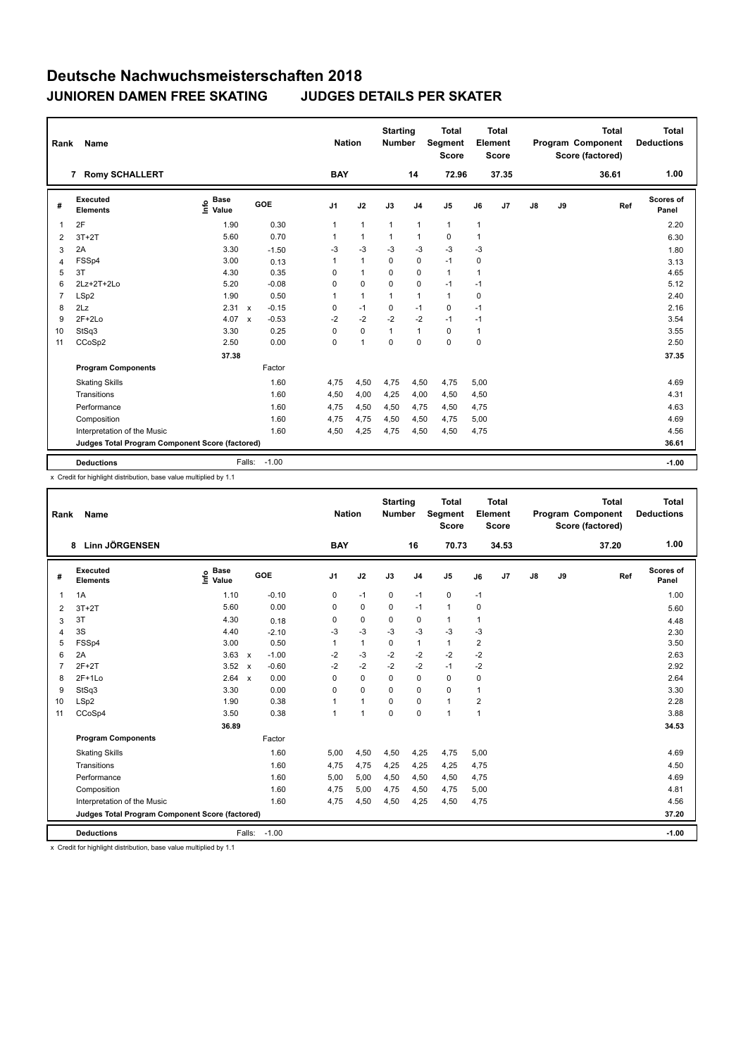| Rank           | Name                                            |                                     |                           |              | <b>Nation</b>  |                | <b>Starting</b><br><b>Number</b> |                | <b>Total</b><br>Segment<br><b>Score</b> |              | Total<br>Element<br><b>Score</b> |               |    | <b>Total</b><br>Program Component<br>Score (factored) | <b>Total</b><br><b>Deductions</b> |
|----------------|-------------------------------------------------|-------------------------------------|---------------------------|--------------|----------------|----------------|----------------------------------|----------------|-----------------------------------------|--------------|----------------------------------|---------------|----|-------------------------------------------------------|-----------------------------------|
|                | 7 Romy SCHALLERT                                |                                     |                           |              | <b>BAY</b>     |                |                                  | 14             | 72.96                                   |              | 37.35                            |               |    | 36.61                                                 | 1.00                              |
| #              | Executed<br><b>Elements</b>                     | <b>Base</b><br><u>info</u><br>Value | GOE                       |              | J <sub>1</sub> | J2             | J3                               | J <sub>4</sub> | J <sub>5</sub>                          | J6           | J <sub>7</sub>                   | $\mathsf{J}8$ | J9 | Ref                                                   | Scores of<br>Panel                |
| 1              | 2F                                              | 1.90                                |                           | 0.30         | 1              | $\mathbf{1}$   | $\mathbf{1}$                     | $\mathbf{1}$   | $\mathbf{1}$                            | $\mathbf{1}$ |                                  |               |    |                                                       | 2.20                              |
| 2              | $3T+2T$                                         | 5.60                                |                           | 0.70         | 1              | $\mathbf{1}$   | $\mathbf 1$                      | $\mathbf{1}$   | $\mathbf 0$                             | 1            |                                  |               |    |                                                       | 6.30                              |
| 3              | 2A                                              | 3.30                                |                           | $-1.50$      | -3             | $-3$           | $-3$                             | $-3$           | $-3$                                    | $-3$         |                                  |               |    |                                                       | 1.80                              |
| 4              | FSSp4                                           | 3.00                                |                           | 0.13         | 1              | $\overline{1}$ | $\mathbf 0$                      | $\mathbf 0$    | $-1$                                    | 0            |                                  |               |    |                                                       | 3.13                              |
| 5              | 3T                                              | 4.30                                |                           | 0.35         | 0              | $\mathbf{1}$   | $\mathbf 0$                      | $\mathbf 0$    | $\mathbf{1}$                            | 1            |                                  |               |    |                                                       | 4.65                              |
| 6              | 2Lz+2T+2Lo                                      | 5.20                                |                           | $-0.08$      | 0              | $\mathbf 0$    | $\mathbf 0$                      | $\mathbf 0$    | $-1$                                    | $-1$         |                                  |               |    |                                                       | 5.12                              |
| $\overline{7}$ | LSp2                                            | 1.90                                |                           | 0.50         | 1              | $\overline{1}$ | $\mathbf{1}$                     | $\mathbf{1}$   | $\mathbf{1}$                            | 0            |                                  |               |    |                                                       | 2.40                              |
| 8              | 2Lz                                             | 2.31                                | $\boldsymbol{\mathsf{x}}$ | $-0.15$      | 0              | $-1$           | $\mathbf 0$                      | $-1$           | $\mathbf 0$                             | $-1$         |                                  |               |    |                                                       | 2.16                              |
| 9              | $2F+2Lo$                                        | 4.07                                | $\mathsf{x}$              | $-0.53$      | $-2$           | $-2$           | $-2$                             | $-2$           | $-1$                                    | $-1$         |                                  |               |    |                                                       | 3.54                              |
| 10             | StSq3                                           | 3.30                                |                           | 0.25         | 0              | $\mathbf 0$    | $\mathbf{1}$                     | $\mathbf{1}$   | $\mathbf 0$                             | $\mathbf{1}$ |                                  |               |    |                                                       | 3.55                              |
| 11             | CCoSp2                                          | 2.50                                |                           | 0.00         | 0              | $\overline{1}$ | $\mathbf 0$                      | $\mathbf 0$    | 0                                       | 0            |                                  |               |    |                                                       | 2.50                              |
|                |                                                 | 37.38                               |                           |              |                |                |                                  |                |                                         |              |                                  |               |    |                                                       | 37.35                             |
|                | <b>Program Components</b>                       |                                     |                           | Factor       |                |                |                                  |                |                                         |              |                                  |               |    |                                                       |                                   |
|                | <b>Skating Skills</b>                           |                                     |                           | 1.60         | 4,75           | 4,50           | 4,75                             | 4,50           | 4,75                                    | 5,00         |                                  |               |    |                                                       | 4.69                              |
|                | Transitions                                     |                                     |                           | 1.60         | 4,50           | 4,00           | 4,25                             | 4,00           | 4,50                                    | 4,50         |                                  |               |    |                                                       | 4.31                              |
|                | Performance                                     |                                     |                           | 1.60         | 4,75           | 4,50           | 4,50                             | 4,75           | 4,50                                    | 4,75         |                                  |               |    |                                                       | 4.63                              |
|                | Composition                                     |                                     |                           | 1.60         | 4,75           | 4,75           | 4,50                             | 4,50           | 4,75                                    | 5,00         |                                  |               |    |                                                       | 4.69                              |
|                | Interpretation of the Music                     |                                     |                           | 1.60         | 4,50           | 4,25           | 4,75                             | 4,50           | 4,50                                    | 4,75         |                                  |               |    |                                                       | 4.56                              |
|                | Judges Total Program Component Score (factored) |                                     |                           |              |                |                |                                  |                |                                         |              |                                  |               |    |                                                       | 36.61                             |
|                | <b>Deductions</b>                               |                                     |                           | Falls: -1.00 |                |                |                                  |                |                                         |              |                                  |               |    |                                                       | $-1.00$                           |

x Credit for highlight distribution, base value multiplied by 1.1

| Rank           | Name                                            |                                  |                                      | <b>Nation</b>  |                      | <b>Starting</b><br><b>Number</b> |                | <b>Total</b><br>Segment<br><b>Score</b> |                | <b>Total</b><br>Element<br><b>Score</b> |    |    | <b>Total</b><br>Program Component<br>Score (factored) | <b>Total</b><br><b>Deductions</b> |
|----------------|-------------------------------------------------|----------------------------------|--------------------------------------|----------------|----------------------|----------------------------------|----------------|-----------------------------------------|----------------|-----------------------------------------|----|----|-------------------------------------------------------|-----------------------------------|
|                | <b>Linn JÖRGENSEN</b><br>8                      |                                  |                                      | <b>BAY</b>     |                      |                                  | 16             | 70.73                                   |                | 34.53                                   |    |    | 37.20                                                 | 1.00                              |
| #              | Executed<br><b>Elements</b>                     | <b>Base</b><br>e Base<br>E Value | GOE                                  | J <sub>1</sub> | J2                   | J3                               | J <sub>4</sub> | J5                                      | J6             | J7                                      | J8 | J9 | Ref                                                   | Scores of<br>Panel                |
| 1              | 1A                                              | 1.10                             | $-0.10$                              | 0              | $-1$                 | 0                                | $-1$           | 0                                       | $-1$           |                                         |    |    |                                                       | 1.00                              |
| 2              | $3T+2T$                                         | 5.60                             | 0.00                                 | 0              | $\mathbf 0$          | 0                                | $-1$           | $\mathbf{1}$                            | 0              |                                         |    |    |                                                       | 5.60                              |
| 3              | 3T                                              | 4.30                             | 0.18                                 | 0              | 0                    | 0                                | 0              | $\mathbf{1}$                            | $\overline{1}$ |                                         |    |    |                                                       | 4.48                              |
| $\overline{4}$ | 3S                                              | 4.40                             | $-2.10$                              | -3             | $-3$                 | $-3$                             | $-3$           | -3                                      | $-3$           |                                         |    |    |                                                       | 2.30                              |
| 5              | FSSp4                                           | 3.00                             | 0.50                                 | 1              | $\mathbf{1}$         | 0                                | $\mathbf{1}$   | $\mathbf{1}$                            | 2              |                                         |    |    |                                                       | 3.50                              |
| 6              | 2A                                              | 3.63                             | $-1.00$<br>$\boldsymbol{\mathsf{x}}$ | $-2$           | $-3$                 | $-2$                             | $-2$           | $-2$                                    | $-2$           |                                         |    |    |                                                       | 2.63                              |
| 7              | $2F+2T$                                         | 3.52                             | $-0.60$<br>$\boldsymbol{\mathsf{x}}$ | $-2$           | $-2$                 | $-2$                             | $-2$           | $-1$                                    | $-2$           |                                         |    |    |                                                       | 2.92                              |
| 8              | $2F+1L0$                                        | 2.64                             | 0.00<br>$\boldsymbol{\mathsf{x}}$    | $\Omega$       | $\mathbf 0$          | $\Omega$                         | 0              | 0                                       | 0              |                                         |    |    |                                                       | 2.64                              |
| 9              | StSq3                                           | 3.30                             | 0.00                                 | $\Omega$       | 0                    | $\Omega$                         | 0              | 0                                       | 1              |                                         |    |    |                                                       | 3.30                              |
| 10             | LSp2                                            | 1.90                             | 0.38                                 |                | $\blacktriangleleft$ | 0                                | 0              | $\mathbf{1}$                            | 2              |                                         |    |    |                                                       | 2.28                              |
| 11             | CCoSp4                                          | 3.50                             | 0.38                                 | 1              | $\overline{1}$       | $\Omega$                         | $\Omega$       | $\mathbf{1}$                            | 1              |                                         |    |    |                                                       | 3.88                              |
|                |                                                 | 36.89                            |                                      |                |                      |                                  |                |                                         |                |                                         |    |    |                                                       | 34.53                             |
|                | <b>Program Components</b>                       |                                  | Factor                               |                |                      |                                  |                |                                         |                |                                         |    |    |                                                       |                                   |
|                | <b>Skating Skills</b>                           |                                  | 1.60                                 | 5,00           | 4,50                 | 4,50                             | 4,25           | 4,75                                    | 5,00           |                                         |    |    |                                                       | 4.69                              |
|                | Transitions                                     |                                  | 1.60                                 | 4,75           | 4,75                 | 4,25                             | 4,25           | 4,25                                    | 4,75           |                                         |    |    |                                                       | 4.50                              |
|                | Performance                                     |                                  | 1.60                                 | 5,00           | 5,00                 | 4,50                             | 4,50           | 4,50                                    | 4,75           |                                         |    |    |                                                       | 4.69                              |
|                | Composition                                     |                                  | 1.60                                 | 4,75           | 5,00                 | 4,75                             | 4,50           | 4,75                                    | 5,00           |                                         |    |    |                                                       | 4.81                              |
|                | Interpretation of the Music                     |                                  | 1.60                                 | 4,75           | 4,50                 | 4,50                             | 4,25           | 4,50                                    | 4,75           |                                         |    |    |                                                       | 4.56                              |
|                | Judges Total Program Component Score (factored) |                                  |                                      |                |                      |                                  |                |                                         |                |                                         |    |    |                                                       | 37.20                             |
|                | <b>Deductions</b>                               |                                  | $-1.00$<br>Falls:                    |                |                      |                                  |                |                                         |                |                                         |    |    |                                                       | $-1.00$                           |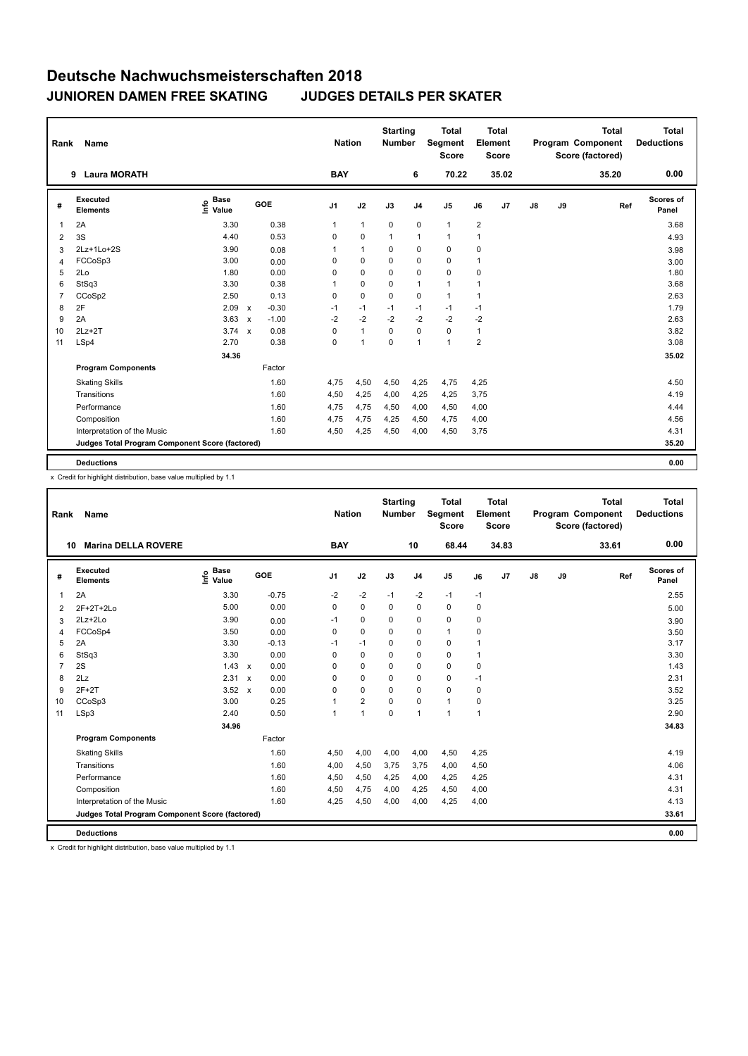| Rank           | Name                                            |                              |                           |         | <b>Nation</b>  |                | <b>Starting</b><br><b>Number</b> |                | <b>Total</b><br>Segment<br><b>Score</b> |                | <b>Total</b><br>Element<br><b>Score</b> |               |    | <b>Total</b><br>Program Component<br>Score (factored) | Total<br><b>Deductions</b> |
|----------------|-------------------------------------------------|------------------------------|---------------------------|---------|----------------|----------------|----------------------------------|----------------|-----------------------------------------|----------------|-----------------------------------------|---------------|----|-------------------------------------------------------|----------------------------|
|                | <b>Laura MORATH</b><br>9                        |                              |                           |         | <b>BAY</b>     |                |                                  | 6              | 70.22                                   |                | 35.02                                   |               |    | 35.20                                                 | 0.00                       |
| #              | Executed<br><b>Elements</b>                     | <b>Base</b><br>١nfo<br>Value |                           | GOE     | J <sub>1</sub> | J2             | J3                               | J <sub>4</sub> | J <sub>5</sub>                          | J6             | J <sub>7</sub>                          | $\mathsf{J}8$ | J9 | Ref                                                   | Scores of<br>Panel         |
| 1              | 2A                                              | 3.30                         |                           | 0.38    | 1              | $\mathbf{1}$   | $\mathbf 0$                      | $\mathbf 0$    | $\mathbf{1}$                            | $\overline{2}$ |                                         |               |    |                                                       | 3.68                       |
| 2              | 3S                                              | 4.40                         |                           | 0.53    | 0              | 0              | $\mathbf{1}$                     | $\mathbf{1}$   | $\mathbf{1}$                            | 1              |                                         |               |    |                                                       | 4.93                       |
| 3              | 2Lz+1Lo+2S                                      | 3.90                         |                           | 0.08    | 1              | $\overline{1}$ | 0                                | $\mathbf 0$    | 0                                       | 0              |                                         |               |    |                                                       | 3.98                       |
| 4              | FCCoSp3                                         | 3.00                         |                           | 0.00    | 0              | $\mathbf 0$    | $\Omega$                         | $\mathbf 0$    | $\Omega$                                | $\mathbf{1}$   |                                         |               |    |                                                       | 3.00                       |
| 5              | 2Lo                                             | 1.80                         |                           | 0.00    | 0              | $\mathbf 0$    | $\Omega$                         | 0              | $\mathbf 0$                             | 0              |                                         |               |    |                                                       | 1.80                       |
| 6              | StSq3                                           | 3.30                         |                           | 0.38    | 1              | 0              | 0                                | $\mathbf{1}$   | $\mathbf{1}$                            | 1              |                                         |               |    |                                                       | 3.68                       |
| $\overline{7}$ | CCoSp2                                          | 2.50                         |                           | 0.13    | 0              | $\mathbf 0$    | $\Omega$                         | $\mathbf 0$    | $\mathbf{1}$                            | $\mathbf{1}$   |                                         |               |    |                                                       | 2.63                       |
| 8              | 2F                                              | 2.09                         | $\mathsf{x}$              | $-0.30$ | $-1$           | $-1$           | $-1$                             | $-1$           | $-1$                                    | $-1$           |                                         |               |    |                                                       | 1.79                       |
| 9              | 2A                                              | 3.63                         | $\mathsf{x}$              | $-1.00$ | $-2$           | $-2$           | $-2$                             | $-2$           | $-2$                                    | $-2$           |                                         |               |    |                                                       | 2.63                       |
| 10             | $2Lz+2T$                                        | 3.74                         | $\boldsymbol{\mathsf{x}}$ | 0.08    | 0              | $\mathbf{1}$   | 0                                | $\mathbf 0$    | 0                                       | 1              |                                         |               |    |                                                       | 3.82                       |
| 11             | LSp4                                            | 2.70                         |                           | 0.38    | 0              | $\overline{1}$ | $\Omega$                         | $\mathbf{1}$   | 1                                       | $\overline{2}$ |                                         |               |    |                                                       | 3.08                       |
|                |                                                 | 34.36                        |                           |         |                |                |                                  |                |                                         |                |                                         |               |    |                                                       | 35.02                      |
|                | <b>Program Components</b>                       |                              |                           | Factor  |                |                |                                  |                |                                         |                |                                         |               |    |                                                       |                            |
|                | <b>Skating Skills</b>                           |                              |                           | 1.60    | 4,75           | 4,50           | 4,50                             | 4,25           | 4,75                                    | 4,25           |                                         |               |    |                                                       | 4.50                       |
|                | Transitions                                     |                              |                           | 1.60    | 4,50           | 4,25           | 4,00                             | 4,25           | 4,25                                    | 3,75           |                                         |               |    |                                                       | 4.19                       |
|                | Performance                                     |                              |                           | 1.60    | 4,75           | 4,75           | 4,50                             | 4,00           | 4,50                                    | 4,00           |                                         |               |    |                                                       | 4.44                       |
|                | Composition                                     |                              |                           | 1.60    | 4,75           | 4,75           | 4,25                             | 4,50           | 4,75                                    | 4,00           |                                         |               |    |                                                       | 4.56                       |
|                | Interpretation of the Music                     |                              |                           | 1.60    | 4,50           | 4,25           | 4,50                             | 4,00           | 4,50                                    | 3,75           |                                         |               |    |                                                       | 4.31                       |
|                | Judges Total Program Component Score (factored) |                              |                           |         |                |                |                                  |                |                                         |                |                                         |               |    |                                                       | 35.20                      |
|                | <b>Deductions</b>                               |                              |                           |         |                |                |                                  |                |                                         |                |                                         |               |    |                                                       | 0.00                       |

x Credit for highlight distribution, base value multiplied by 1.1

| Rank           | Name                                            |                              |                      | <b>Nation</b> |                | <b>Starting</b><br><b>Number</b> |                | <b>Total</b><br>Segment<br><b>Score</b> |                | <b>Total</b><br>Element<br><b>Score</b> |               |    | <b>Total</b><br>Program Component<br>Score (factored) | <b>Total</b><br><b>Deductions</b> |
|----------------|-------------------------------------------------|------------------------------|----------------------|---------------|----------------|----------------------------------|----------------|-----------------------------------------|----------------|-----------------------------------------|---------------|----|-------------------------------------------------------|-----------------------------------|
|                | <b>Marina DELLA ROVERE</b><br>10                |                              |                      | <b>BAY</b>    |                |                                  | 10             | 68.44                                   |                | 34.83                                   |               |    | 33.61                                                 | 0.00                              |
| #              | <b>Executed</b><br><b>Elements</b>              | <b>Base</b><br>lnfo<br>Value | GOE                  | J1            | J2             | J3                               | J <sub>4</sub> | J <sub>5</sub>                          | J6             | J <sub>7</sub>                          | $\mathsf{J}8$ | J9 | Ref                                                   | Scores of<br>Panel                |
| 1              | 2A                                              | 3.30                         | $-0.75$              | $-2$          | $-2$           | $-1$                             | $-2$           | $-1$                                    | $-1$           |                                         |               |    |                                                       | 2.55                              |
| 2              | 2F+2T+2Lo                                       | 5.00                         | 0.00                 | 0             | 0              | 0                                | 0              | 0                                       | 0              |                                         |               |    |                                                       | 5.00                              |
| 3              | 2Lz+2Lo                                         | 3.90                         | 0.00                 | $-1$          | 0              | 0                                | 0              | 0                                       | 0              |                                         |               |    |                                                       | 3.90                              |
| 4              | FCCoSp4                                         | 3.50                         | 0.00                 | 0             | 0              | 0                                | 0              | $\mathbf{1}$                            | 0              |                                         |               |    |                                                       | 3.50                              |
| 5              | 2A                                              | 3.30                         | $-0.13$              | $-1$          | $-1$           | 0                                | 0              | 0                                       | 1              |                                         |               |    |                                                       | 3.17                              |
| 6              | StSq3                                           | 3.30                         | 0.00                 | $\Omega$      | 0              | 0                                | 0              | 0                                       |                |                                         |               |    |                                                       | 3.30                              |
| $\overline{7}$ | 2S                                              | $1.43 \times$                | 0.00                 | 0             | 0              | 0                                | 0              | 0                                       | $\pmb{0}$      |                                         |               |    |                                                       | 1.43                              |
| 8              | 2Lz                                             | $2.31 \times$                | 0.00                 | 0             | $\mathbf 0$    | 0                                | 0              | 0                                       | $-1$           |                                         |               |    |                                                       | 2.31                              |
| 9              | $2F+2T$                                         | 3.52                         | 0.00<br>$\mathsf{x}$ | 0             | 0              | 0                                | 0              | 0                                       | 0              |                                         |               |    |                                                       | 3.52                              |
| 10             | CCoSp3                                          | 3.00                         | 0.25                 | $\mathbf 1$   | $\overline{2}$ | 0                                | 0              | 1                                       | 0              |                                         |               |    |                                                       | 3.25                              |
| 11             | LSp3                                            | 2.40                         | 0.50                 | $\mathbf{1}$  | $\overline{1}$ | $\mathbf 0$                      | $\mathbf{1}$   | $\mathbf{1}$                            | $\overline{1}$ |                                         |               |    |                                                       | 2.90                              |
|                |                                                 | 34.96                        |                      |               |                |                                  |                |                                         |                |                                         |               |    |                                                       | 34.83                             |
|                | <b>Program Components</b>                       |                              | Factor               |               |                |                                  |                |                                         |                |                                         |               |    |                                                       |                                   |
|                | <b>Skating Skills</b>                           |                              | 1.60                 | 4,50          | 4,00           | 4,00                             | 4,00           | 4,50                                    | 4,25           |                                         |               |    |                                                       | 4.19                              |
|                | Transitions                                     |                              | 1.60                 | 4,00          | 4,50           | 3,75                             | 3.75           | 4,00                                    | 4,50           |                                         |               |    |                                                       | 4.06                              |
|                | Performance                                     |                              | 1.60                 | 4,50          | 4,50           | 4,25                             | 4,00           | 4,25                                    | 4,25           |                                         |               |    |                                                       | 4.31                              |
|                | Composition                                     |                              | 1.60                 | 4,50          | 4,75           | 4,00                             | 4,25           | 4,50                                    | 4,00           |                                         |               |    |                                                       | 4.31                              |
|                | Interpretation of the Music                     |                              | 1.60                 | 4,25          | 4,50           | 4,00                             | 4,00           | 4,25                                    | 4,00           |                                         |               |    |                                                       | 4.13                              |
|                | Judges Total Program Component Score (factored) |                              |                      |               |                |                                  |                |                                         |                |                                         |               |    |                                                       | 33.61                             |
|                | <b>Deductions</b>                               |                              |                      |               |                |                                  |                |                                         |                |                                         |               |    |                                                       | 0.00                              |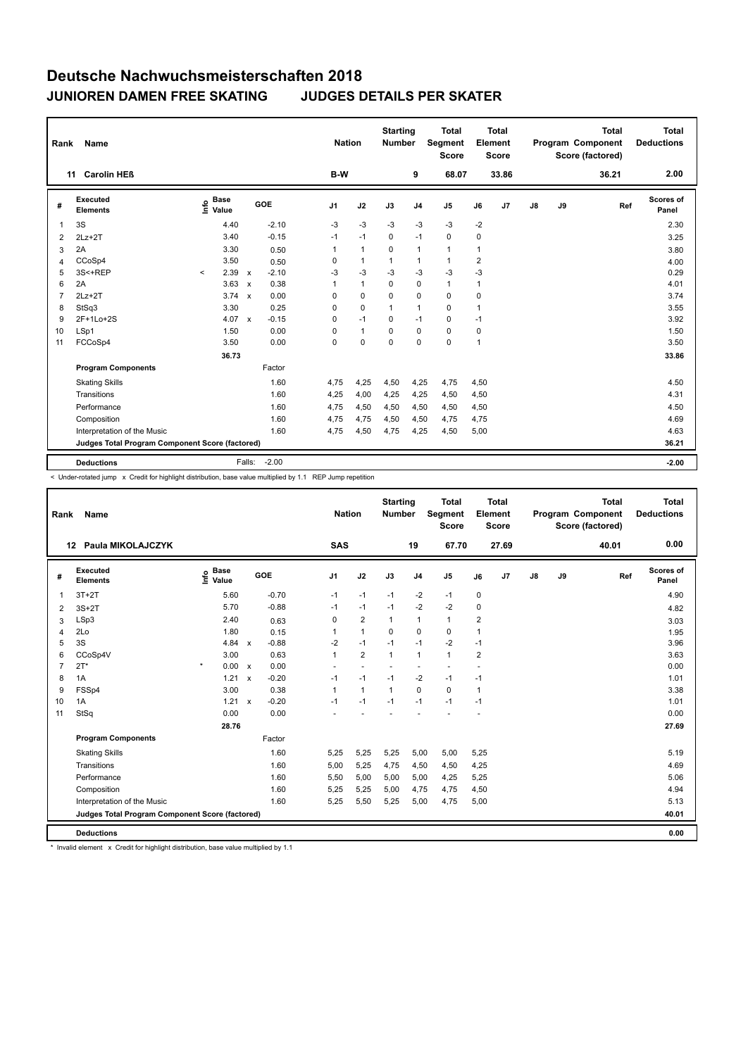| Rank           | Name                                            |             |                      |                           |         |                | <b>Nation</b> |                | <b>Starting</b><br><b>Number</b> |                | <b>Total</b><br>Segment<br><b>Score</b> |                | Total<br>Element<br><b>Score</b> |               |    | <b>Total</b><br>Program Component<br>Score (factored) | <b>Total</b><br><b>Deductions</b> |
|----------------|-------------------------------------------------|-------------|----------------------|---------------------------|---------|----------------|---------------|----------------|----------------------------------|----------------|-----------------------------------------|----------------|----------------------------------|---------------|----|-------------------------------------------------------|-----------------------------------|
| 11             | <b>Carolin HEB</b>                              |             |                      |                           |         |                | B-W           |                |                                  | 9              | 68.07                                   |                | 33.86                            |               |    | 36.21                                                 | 2.00                              |
| #              | Executed<br><b>Elements</b>                     | <u>info</u> | <b>Base</b><br>Value |                           | GOE     | J <sub>1</sub> |               | J2             | J3                               | J <sub>4</sub> | J <sub>5</sub>                          | J6             | J7                               | $\mathsf{J}8$ | J9 | Ref                                                   | <b>Scores of</b><br>Panel         |
| 1              | 3S                                              |             | 4.40                 |                           | $-2.10$ | $-3$           |               | $-3$           | $-3$                             | $-3$           | $-3$                                    | $-2$           |                                  |               |    |                                                       | 2.30                              |
| 2              | $2Lz + 2T$                                      |             | 3.40                 |                           | $-0.15$ | $-1$           |               | $-1$           | $\Omega$                         | $-1$           | $\mathbf 0$                             | 0              |                                  |               |    |                                                       | 3.25                              |
| 3              | 2A                                              |             | 3.30                 |                           | 0.50    | 1              |               | $\overline{1}$ | 0                                | $\mathbf{1}$   | $\mathbf{1}$                            | 1              |                                  |               |    |                                                       | 3.80                              |
| 4              | CCoSp4                                          |             | 3.50                 |                           | 0.50    | 0              |               | $\mathbf{1}$   | $\mathbf{1}$                     | $\mathbf{1}$   | $\mathbf{1}$                            | $\overline{2}$ |                                  |               |    |                                                       | 4.00                              |
| 5              | 3S<+REP                                         | $\prec$     | 2.39                 | $\mathsf{x}$              | $-2.10$ | $-3$           |               | $-3$           | $-3$                             | $-3$           | $-3$                                    | $-3$           |                                  |               |    |                                                       | 0.29                              |
| 6              | 2A                                              |             | 3.63                 | $\boldsymbol{\mathsf{x}}$ | 0.38    | 1              |               | $\mathbf{1}$   | $\mathbf 0$                      | $\mathbf 0$    | $\mathbf{1}$                            | 1              |                                  |               |    |                                                       | 4.01                              |
| $\overline{7}$ | $2Lz+2T$                                        |             | 3.74                 | $\boldsymbol{\mathsf{x}}$ | 0.00    | 0              |               | $\mathbf 0$    | $\Omega$                         | $\mathbf 0$    | $\mathbf 0$                             | 0              |                                  |               |    |                                                       | 3.74                              |
| 8              | StSq3                                           |             | 3.30                 |                           | 0.25    | 0              |               | $\mathbf 0$    | $\mathbf{1}$                     | $\mathbf{1}$   | 0                                       | 1              |                                  |               |    |                                                       | 3.55                              |
| 9              | 2F+1Lo+2S                                       |             | 4.07                 | $\mathbf{x}$              | $-0.15$ | 0              |               | $-1$           | $\Omega$                         | $-1$           | $\mathbf 0$                             | $-1$           |                                  |               |    |                                                       | 3.92                              |
| 10             | LSp1                                            |             | 1.50                 |                           | 0.00    | 0              |               | $\mathbf{1}$   | $\Omega$                         | $\mathbf 0$    | $\mathbf 0$                             | 0              |                                  |               |    |                                                       | 1.50                              |
| 11             | FCCoSp4                                         |             | 3.50                 |                           | 0.00    | 0              |               | $\mathbf 0$    | $\Omega$                         | $\mathbf 0$    | $\mathbf 0$                             | $\mathbf{1}$   |                                  |               |    |                                                       | 3.50                              |
|                |                                                 |             | 36.73                |                           |         |                |               |                |                                  |                |                                         |                |                                  |               |    |                                                       | 33.86                             |
|                | <b>Program Components</b>                       |             |                      |                           | Factor  |                |               |                |                                  |                |                                         |                |                                  |               |    |                                                       |                                   |
|                | <b>Skating Skills</b>                           |             |                      |                           | 1.60    | 4,75           |               | 4,25           | 4,50                             | 4,25           | 4,75                                    | 4,50           |                                  |               |    |                                                       | 4.50                              |
|                | Transitions                                     |             |                      |                           | 1.60    | 4,25           |               | 4,00           | 4,25                             | 4,25           | 4,50                                    | 4,50           |                                  |               |    |                                                       | 4.31                              |
|                | Performance                                     |             |                      |                           | 1.60    | 4,75           |               | 4,50           | 4,50                             | 4,50           | 4,50                                    | 4,50           |                                  |               |    |                                                       | 4.50                              |
|                | Composition                                     |             |                      |                           | 1.60    | 4,75           |               | 4,75           | 4,50                             | 4,50           | 4,75                                    | 4,75           |                                  |               |    |                                                       | 4.69                              |
|                | Interpretation of the Music                     |             |                      |                           | 1.60    | 4,75           |               | 4,50           | 4,75                             | 4,25           | 4,50                                    | 5,00           |                                  |               |    |                                                       | 4.63                              |
|                | Judges Total Program Component Score (factored) |             |                      |                           |         |                |               |                |                                  |                |                                         |                |                                  |               |    |                                                       | 36.21                             |
|                | <b>Deductions</b>                               |             |                      | Falls:                    | $-2.00$ |                |               |                |                                  |                |                                         |                |                                  |               |    |                                                       | $-2.00$                           |

-<br>< Under-rotated jump x Credit for highlight distribution, base value multiplied by 1.1 REP Jump repetition

| Rank           | Name                                            |                              |              |         | <b>Nation</b>  |                | <b>Starting</b><br><b>Number</b> |                          | Total<br>Segment<br>Score |                | <b>Total</b><br>Element<br><b>Score</b> |               |    | <b>Total</b><br>Program Component<br>Score (factored) | <b>Total</b><br><b>Deductions</b> |
|----------------|-------------------------------------------------|------------------------------|--------------|---------|----------------|----------------|----------------------------------|--------------------------|---------------------------|----------------|-----------------------------------------|---------------|----|-------------------------------------------------------|-----------------------------------|
|                | Paula MIKOLAJCZYK<br>12                         |                              |              |         | <b>SAS</b>     |                |                                  | 19                       | 67.70                     |                | 27.69                                   |               |    | 40.01                                                 | 0.00                              |
| #              | <b>Executed</b><br><b>Elements</b>              | <b>Base</b><br>lnfo<br>Value |              | GOE     | J <sub>1</sub> | J2             | J3                               | J <sub>4</sub>           | J <sub>5</sub>            | J6             | J7                                      | $\mathsf{J}8$ | J9 | Ref                                                   | <b>Scores of</b><br>Panel         |
| 1              | $3T+2T$                                         | 5.60                         |              | $-0.70$ | $-1$           | $-1$           | $-1$                             | $-2$                     | $-1$                      | $\mathbf 0$    |                                         |               |    |                                                       | 4.90                              |
| $\overline{2}$ | $3S+2T$                                         | 5.70                         |              | $-0.88$ | $-1$           | $-1$           | $-1$                             | $-2$                     | $-2$                      | 0              |                                         |               |    |                                                       | 4.82                              |
| 3              | LSp3                                            | 2.40                         |              | 0.63    | 0              | $\overline{2}$ | $\mathbf{1}$                     | $\mathbf{1}$             | $\mathbf{1}$              | 2              |                                         |               |    |                                                       | 3.03                              |
| 4              | 2Lo                                             | 1.80                         |              | 0.15    | 1              | $\mathbf{1}$   | $\Omega$                         | $\mathbf 0$              | 0                         | 1              |                                         |               |    |                                                       | 1.95                              |
| 5              | 3S                                              | 4.84                         | $\mathsf{x}$ | $-0.88$ | $-2$           | $-1$           | $-1$                             | $-1$                     | $-2$                      | $-1$           |                                         |               |    |                                                       | 3.96                              |
| 6              | CCoSp4V                                         | 3.00                         |              | 0.63    | $\mathbf{1}$   | $\overline{2}$ | $\mathbf{1}$                     | $\mathbf{1}$             | $\mathbf{1}$              | $\overline{2}$ |                                         |               |    |                                                       | 3.63                              |
| $\overline{7}$ | $2T^*$                                          | $\star$<br>0.00              | $\mathsf{x}$ | 0.00    | ٠              |                |                                  | $\overline{\phantom{a}}$ | $\overline{\phantom{a}}$  | ٠              |                                         |               |    |                                                       | 0.00                              |
| 8              | 1A                                              | 1.21                         | $\mathbf x$  | $-0.20$ | $-1$           | $-1$           | $-1$                             | $-2$                     | $-1$                      | $-1$           |                                         |               |    |                                                       | 1.01                              |
| 9              | FSSp4                                           | 3.00                         |              | 0.38    | $\mathbf{1}$   | $\mathbf{1}$   | $\mathbf{1}$                     | $\Omega$                 | 0                         | $\mathbf{1}$   |                                         |               |    |                                                       | 3.38                              |
| 10             | 1A                                              | 1.21                         | $\mathsf{x}$ | $-0.20$ | $-1$           | $-1$           | $-1$                             | $-1$                     | $-1$                      | $-1$           |                                         |               |    |                                                       | 1.01                              |
| 11             | StSq                                            | 0.00                         |              | 0.00    |                |                |                                  |                          |                           |                |                                         |               |    |                                                       | 0.00                              |
|                |                                                 | 28.76                        |              |         |                |                |                                  |                          |                           |                |                                         |               |    |                                                       | 27.69                             |
|                | <b>Program Components</b>                       |                              |              | Factor  |                |                |                                  |                          |                           |                |                                         |               |    |                                                       |                                   |
|                | <b>Skating Skills</b>                           |                              |              | 1.60    | 5,25           | 5,25           | 5,25                             | 5,00                     | 5,00                      | 5,25           |                                         |               |    |                                                       | 5.19                              |
|                | Transitions                                     |                              |              | 1.60    | 5,00           | 5,25           | 4,75                             | 4,50                     | 4,50                      | 4,25           |                                         |               |    |                                                       | 4.69                              |
|                | Performance                                     |                              |              | 1.60    | 5,50           | 5,00           | 5,00                             | 5,00                     | 4,25                      | 5,25           |                                         |               |    |                                                       | 5.06                              |
|                | Composition                                     |                              |              | 1.60    | 5,25           | 5,25           | 5,00                             | 4,75                     | 4,75                      | 4,50           |                                         |               |    |                                                       | 4.94                              |
|                | Interpretation of the Music                     |                              |              | 1.60    | 5,25           | 5,50           | 5,25                             | 5,00                     | 4,75                      | 5,00           |                                         |               |    |                                                       | 5.13                              |
|                | Judges Total Program Component Score (factored) |                              |              |         |                |                |                                  |                          |                           |                |                                         |               |    |                                                       | 40.01                             |
|                | <b>Deductions</b>                               |                              |              |         |                |                |                                  |                          |                           |                |                                         |               |    |                                                       | 0.00                              |

\* Invalid element x Credit for highlight distribution, base value multiplied by 1.1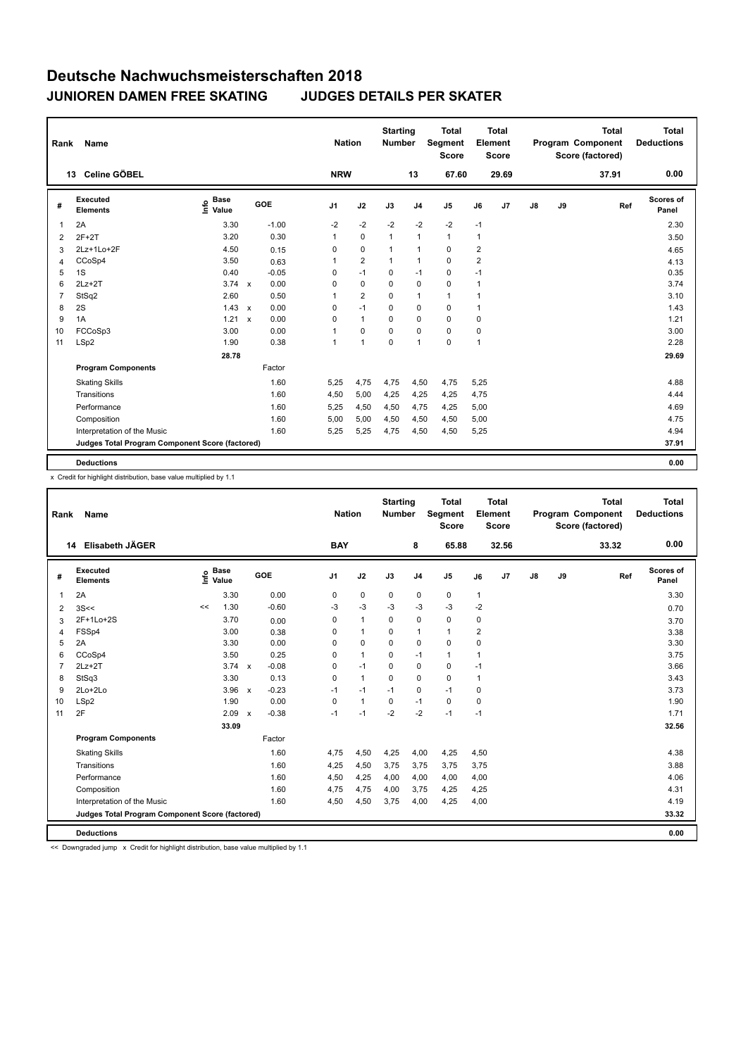| Rank           | <b>Name</b>                                     |                              |              |            | <b>Nation</b>  |                | <b>Starting</b><br><b>Number</b> |                | <b>Total</b><br>Segment<br><b>Score</b> |                | <b>Total</b><br>Element<br><b>Score</b> |    |    | <b>Total</b><br>Program Component<br>Score (factored) | Total<br><b>Deductions</b> |
|----------------|-------------------------------------------------|------------------------------|--------------|------------|----------------|----------------|----------------------------------|----------------|-----------------------------------------|----------------|-----------------------------------------|----|----|-------------------------------------------------------|----------------------------|
|                | Celine GÖBEL<br>13                              |                              |              |            | <b>NRW</b>     |                |                                  | 13             | 67.60                                   |                | 29.69                                   |    |    | 37.91                                                 | 0.00                       |
| #              | Executed<br><b>Elements</b>                     | <b>Base</b><br>١nfo<br>Value |              | <b>GOE</b> | J <sub>1</sub> | J2             | J3                               | J <sub>4</sub> | J <sub>5</sub>                          | J6             | J <sub>7</sub>                          | J8 | J9 | Ref                                                   | <b>Scores of</b><br>Panel  |
| $\overline{1}$ | 2A                                              | 3.30                         |              | $-1.00$    | $-2$           | $-2$           | $-2$                             | $-2$           | $-2$                                    | $-1$           |                                         |    |    |                                                       | 2.30                       |
| 2              | $2F+2T$                                         | 3.20                         |              | 0.30       | 1              | $\mathbf 0$    | $\mathbf{1}$                     | $\mathbf{1}$   | $\mathbf{1}$                            | 1              |                                         |    |    |                                                       | 3.50                       |
| 3              | 2Lz+1Lo+2F                                      | 4.50                         |              | 0.15       | 0              | $\mathbf 0$    | $\mathbf{1}$                     | $\mathbf{1}$   | 0                                       | $\overline{2}$ |                                         |    |    |                                                       | 4.65                       |
| 4              | CCoSp4                                          | 3.50                         |              | 0.63       | 1              | $\overline{2}$ | $\mathbf{1}$                     | $\mathbf{1}$   | $\Omega$                                | $\overline{2}$ |                                         |    |    |                                                       | 4.13                       |
| 5              | 1S                                              | 0.40                         |              | $-0.05$    | 0              | $-1$           | 0                                | $-1$           | 0                                       | $-1$           |                                         |    |    |                                                       | 0.35                       |
| 6              | $2Lz+2T$                                        | $3.74 \times$                |              | 0.00       | 0              | 0              | 0                                | $\mathbf 0$    | 0                                       | 1              |                                         |    |    |                                                       | 3.74                       |
| $\overline{7}$ | StSq2                                           | 2.60                         |              | 0.50       | 1              | $\overline{2}$ | $\Omega$                         | $\mathbf{1}$   | $\mathbf{1}$                            | 1              |                                         |    |    |                                                       | 3.10                       |
| 8              | 2S                                              | 1.43                         | $\mathsf{x}$ | 0.00       | $\mathbf 0$    | $-1$           | $\mathbf 0$                      | $\mathbf 0$    | $\mathbf 0$                             | 1              |                                         |    |    |                                                       | 1.43                       |
| 9              | 1A                                              | 1.21                         | $\mathsf{x}$ | 0.00       | $\Omega$       | $\mathbf{1}$   | $\Omega$                         | $\Omega$       | $\Omega$                                | 0              |                                         |    |    |                                                       | 1.21                       |
| 10             | FCCoSp3                                         | 3.00                         |              | 0.00       | 1              | $\mathbf 0$    | 0                                | $\mathbf 0$    | 0                                       | 0              |                                         |    |    |                                                       | 3.00                       |
| 11             | LSp2                                            | 1.90                         |              | 0.38       | 1              | $\overline{1}$ | $\mathbf 0$                      | $\mathbf{1}$   | $\mathbf 0$                             | 1              |                                         |    |    |                                                       | 2.28                       |
|                |                                                 | 28.78                        |              |            |                |                |                                  |                |                                         |                |                                         |    |    |                                                       | 29.69                      |
|                | <b>Program Components</b>                       |                              |              | Factor     |                |                |                                  |                |                                         |                |                                         |    |    |                                                       |                            |
|                | <b>Skating Skills</b>                           |                              |              | 1.60       | 5,25           | 4,75           | 4,75                             | 4,50           | 4,75                                    | 5,25           |                                         |    |    |                                                       | 4.88                       |
|                | Transitions                                     |                              |              | 1.60       | 4,50           | 5,00           | 4,25                             | 4,25           | 4,25                                    | 4,75           |                                         |    |    |                                                       | 4.44                       |
|                | Performance                                     |                              |              | 1.60       | 5,25           | 4,50           | 4,50                             | 4,75           | 4,25                                    | 5,00           |                                         |    |    |                                                       | 4.69                       |
|                | Composition                                     |                              |              | 1.60       | 5,00           | 5,00           | 4,50                             | 4,50           | 4,50                                    | 5,00           |                                         |    |    |                                                       | 4.75                       |
|                | Interpretation of the Music                     |                              |              | 1.60       | 5,25           | 5,25           | 4,75                             | 4,50           | 4,50                                    | 5,25           |                                         |    |    |                                                       | 4.94                       |
|                | Judges Total Program Component Score (factored) |                              |              |            |                |                |                                  |                |                                         |                |                                         |    |    |                                                       | 37.91                      |
|                | <b>Deductions</b>                               |                              |              |            |                |                |                                  |                |                                         |                |                                         |    |    |                                                       | 0.00                       |

x Credit for highlight distribution, base value multiplied by 1.1

| Rank           | Name                                            |      |                      |                           |         |                | <b>Nation</b> |      | <b>Starting</b><br><b>Number</b> |                | <b>Total</b><br>Segment<br><b>Score</b> |              | Total<br>Element<br><b>Score</b> |               |    | <b>Total</b><br>Program Component<br>Score (factored) |     | <b>Total</b><br><b>Deductions</b> |
|----------------|-------------------------------------------------|------|----------------------|---------------------------|---------|----------------|---------------|------|----------------------------------|----------------|-----------------------------------------|--------------|----------------------------------|---------------|----|-------------------------------------------------------|-----|-----------------------------------|
|                | Elisabeth JÄGER<br>14                           |      |                      |                           |         | <b>BAY</b>     |               |      |                                  | 8              | 65.88                                   |              | 32.56                            |               |    | 33.32                                                 |     | 0.00                              |
| #              | <b>Executed</b><br><b>Elements</b>              | ١nfo | <b>Base</b><br>Value |                           | GOE     | J <sub>1</sub> | J2            | J3   |                                  | J <sub>4</sub> | J5                                      | J6           | J7                               | $\mathsf{J}8$ | J9 |                                                       | Ref | <b>Scores of</b><br>Panel         |
| 1              | 2A                                              |      | 3.30                 |                           | 0.00    | 0              | 0             |      | 0                                | 0              | 0                                       | $\mathbf{1}$ |                                  |               |    |                                                       |     | 3.30                              |
| 2              | 3S<<                                            | <<   | 1.30                 |                           | $-0.60$ | -3             | $-3$          |      | $-3$                             | $-3$           | $-3$                                    | $-2$         |                                  |               |    |                                                       |     | 0.70                              |
| 3              | 2F+1Lo+2S                                       |      | 3.70                 |                           | 0.00    | 0              | $\mathbf{1}$  |      | 0                                | $\mathbf 0$    | 0                                       | 0            |                                  |               |    |                                                       |     | 3.70                              |
| 4              | FSSp4                                           |      | 3.00                 |                           | 0.38    | 0              | $\mathbf{1}$  |      | $\Omega$                         | 1              | $\mathbf{1}$                            | 2            |                                  |               |    |                                                       |     | 3.38                              |
| 5              | 2A                                              |      | 3.30                 |                           | 0.00    | 0              | 0             |      | $\Omega$                         | $\mathbf 0$    | 0                                       | 0            |                                  |               |    |                                                       |     | 3.30                              |
| 6              | CCoSp4                                          |      | 3.50                 |                           | 0.25    | 0              | $\mathbf{1}$  |      | 0                                | $-1$           | $\mathbf{1}$                            | 1            |                                  |               |    |                                                       |     | 3.75                              |
| $\overline{7}$ | $2Lz+2T$                                        |      | $3.74 \times$        |                           | $-0.08$ | 0              | $-1$          |      | 0                                | $\mathbf 0$    | 0                                       | $-1$         |                                  |               |    |                                                       |     | 3.66                              |
| 8              | StSq3                                           |      | 3.30                 |                           | 0.13    | 0              | $\mathbf{1}$  |      | 0                                | $\mathbf 0$    | 0                                       | 1            |                                  |               |    |                                                       |     | 3.43                              |
| 9              | 2Lo+2Lo                                         |      | 3.96                 | $\mathbf{x}$              | $-0.23$ | $-1$           | $-1$          | $-1$ |                                  | 0              | $-1$                                    | 0            |                                  |               |    |                                                       |     | 3.73                              |
| 10             | LSp2                                            |      | 1.90                 |                           | 0.00    | $\mathbf 0$    | $\mathbf{1}$  |      | 0                                | $-1$           | 0                                       | 0            |                                  |               |    |                                                       |     | 1.90                              |
| 11             | 2F                                              |      | 2.09                 | $\boldsymbol{\mathsf{x}}$ | $-0.38$ | -1             | $-1$          |      | $-2$                             | $-2$           | $-1$                                    | $-1$         |                                  |               |    |                                                       |     | 1.71                              |
|                |                                                 |      | 33.09                |                           |         |                |               |      |                                  |                |                                         |              |                                  |               |    |                                                       |     | 32.56                             |
|                | <b>Program Components</b>                       |      |                      |                           | Factor  |                |               |      |                                  |                |                                         |              |                                  |               |    |                                                       |     |                                   |
|                | <b>Skating Skills</b>                           |      |                      |                           | 1.60    | 4,75           | 4,50          |      | 4,25                             | 4,00           | 4,25                                    | 4,50         |                                  |               |    |                                                       |     | 4.38                              |
|                | Transitions                                     |      |                      |                           | 1.60    | 4,25           | 4,50          |      | 3,75                             | 3,75           | 3,75                                    | 3,75         |                                  |               |    |                                                       |     | 3.88                              |
|                | Performance                                     |      |                      |                           | 1.60    | 4,50           | 4,25          |      | 4,00                             | 4,00           | 4,00                                    | 4,00         |                                  |               |    |                                                       |     | 4.06                              |
|                | Composition                                     |      |                      |                           | 1.60    | 4,75           | 4,75          |      | 4,00                             | 3,75           | 4,25                                    | 4,25         |                                  |               |    |                                                       |     | 4.31                              |
|                | Interpretation of the Music                     |      |                      |                           | 1.60    | 4,50           | 4,50          |      | 3,75                             | 4,00           | 4,25                                    | 4,00         |                                  |               |    |                                                       |     | 4.19                              |
|                | Judges Total Program Component Score (factored) |      |                      |                           |         |                |               |      |                                  |                |                                         |              |                                  |               |    |                                                       |     | 33.32                             |
|                | <b>Deductions</b>                               |      |                      |                           |         |                |               |      |                                  |                |                                         |              |                                  |               |    |                                                       |     | 0.00                              |

<< Downgraded jump x Credit for highlight distribution, base value multiplied by 1.1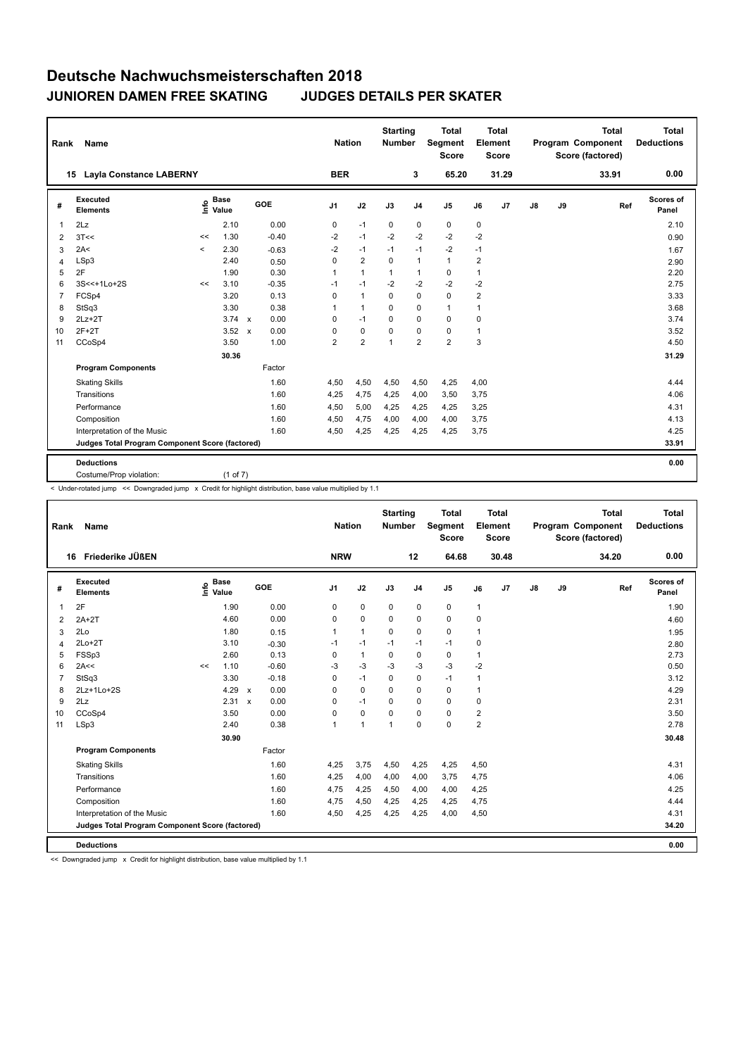| Rank           | <b>Name</b>                                     |         |                                  |              |         | <b>Nation</b>  |                | <b>Starting</b><br><b>Number</b> |                | <b>Total</b><br>Segment<br><b>Score</b> |                | <b>Total</b><br>Element<br><b>Score</b> |               |    | <b>Total</b><br>Program Component<br>Score (factored) | <b>Total</b><br><b>Deductions</b> |
|----------------|-------------------------------------------------|---------|----------------------------------|--------------|---------|----------------|----------------|----------------------------------|----------------|-----------------------------------------|----------------|-----------------------------------------|---------------|----|-------------------------------------------------------|-----------------------------------|
|                | <b>Layla Constance LABERNY</b><br>15            |         |                                  |              |         | <b>BER</b>     |                |                                  | 3              | 65.20                                   |                | 31.29                                   |               |    | 33.91                                                 | 0.00                              |
| #              | <b>Executed</b><br><b>Elements</b>              |         | <b>Base</b><br>e Base<br>⊆ Value |              | GOE     | J <sub>1</sub> | J2             | J3                               | J <sub>4</sub> | J <sub>5</sub>                          | J6             | J7                                      | $\mathsf{J}8$ | J9 | Ref                                                   | Scores of<br>Panel                |
| $\overline{1}$ | 2Lz                                             |         | 2.10                             |              | 0.00    | 0              | $-1$           | $\mathbf 0$                      | $\pmb{0}$      | $\pmb{0}$                               | 0              |                                         |               |    |                                                       | 2.10                              |
| 2              | 3T<<                                            | <<      | 1.30                             |              | $-0.40$ | $-2$           | $-1$           | $-2$                             | $-2$           | $-2$                                    | $-2$           |                                         |               |    |                                                       | 0.90                              |
| 3              | 2A<                                             | $\prec$ | 2.30                             |              | $-0.63$ | $-2$           | $-1$           | $-1$                             | $-1$           | $-2$                                    | $-1$           |                                         |               |    |                                                       | 1.67                              |
| 4              | LSp3                                            |         | 2.40                             |              | 0.50    | 0              | $\overline{2}$ | 0                                | $\mathbf{1}$   | $\mathbf{1}$                            | 2              |                                         |               |    |                                                       | 2.90                              |
| 5              | 2F                                              |         | 1.90                             |              | 0.30    | 1              | $\mathbf{1}$   | $\mathbf{1}$                     | 1              | $\mathbf 0$                             | 1              |                                         |               |    |                                                       | 2.20                              |
| 6              | 3S<<+1Lo+2S                                     | <<      | 3.10                             |              | $-0.35$ | $-1$           | $-1$           | $-2$                             | $-2$           | $-2$                                    | -2             |                                         |               |    |                                                       | 2.75                              |
| $\overline{7}$ | FCSp4                                           |         | 3.20                             |              | 0.13    | 0              | $\mathbf{1}$   | $\mathbf 0$                      | $\mathbf 0$    | $\mathbf 0$                             | $\overline{2}$ |                                         |               |    |                                                       | 3.33                              |
| 8              | StSq3                                           |         | 3.30                             |              | 0.38    | 1              | $\mathbf{1}$   | $\Omega$                         | $\pmb{0}$      | 1                                       | 1              |                                         |               |    |                                                       | 3.68                              |
| 9              | $2Lz+2T$                                        |         | $3.74 \times$                    |              | 0.00    | 0              | $-1$           | $\Omega$                         | $\mathbf 0$    | $\mathbf 0$                             | 0              |                                         |               |    |                                                       | 3.74                              |
| 10             | $2F+2T$                                         |         | 3.52                             | $\mathsf{x}$ | 0.00    | 0              | $\mathbf 0$    | $\mathbf 0$                      | $\mathbf 0$    | $\mathbf 0$                             | 1              |                                         |               |    |                                                       | 3.52                              |
| 11             | CCoSp4                                          |         | 3.50                             |              | 1.00    | $\overline{2}$ | $\overline{2}$ | $\mathbf{1}$                     | $\overline{2}$ | $\overline{2}$                          | 3              |                                         |               |    |                                                       | 4.50                              |
|                |                                                 |         | 30.36                            |              |         |                |                |                                  |                |                                         |                |                                         |               |    |                                                       | 31.29                             |
|                | <b>Program Components</b>                       |         |                                  |              | Factor  |                |                |                                  |                |                                         |                |                                         |               |    |                                                       |                                   |
|                | <b>Skating Skills</b>                           |         |                                  |              | 1.60    | 4,50           | 4,50           | 4,50                             | 4,50           | 4,25                                    | 4,00           |                                         |               |    |                                                       | 4.44                              |
|                | Transitions                                     |         |                                  |              | 1.60    | 4,25           | 4,75           | 4,25                             | 4,00           | 3,50                                    | 3,75           |                                         |               |    |                                                       | 4.06                              |
|                | Performance                                     |         |                                  |              | 1.60    | 4,50           | 5,00           | 4,25                             | 4,25           | 4,25                                    | 3,25           |                                         |               |    |                                                       | 4.31                              |
|                | Composition                                     |         |                                  |              | 1.60    | 4,50           | 4,75           | 4,00                             | 4,00           | 4,00                                    | 3,75           |                                         |               |    |                                                       | 4.13                              |
|                | Interpretation of the Music                     |         |                                  |              | 1.60    | 4,50           | 4,25           | 4,25                             | 4,25           | 4,25                                    | 3,75           |                                         |               |    |                                                       | 4.25                              |
|                | Judges Total Program Component Score (factored) |         |                                  |              |         |                |                |                                  |                |                                         |                |                                         |               |    |                                                       | 33.91                             |
|                |                                                 |         |                                  |              |         |                |                |                                  |                |                                         |                |                                         |               |    |                                                       |                                   |
|                | <b>Deductions</b><br>Costume/Prop violation:    |         | (1 of 7)                         |              |         |                |                |                                  |                |                                         |                |                                         |               |    |                                                       | 0.00                              |

< Under-rotated jump << Downgraded jump x Credit for highlight distribution, base value multiplied by 1.1

| Rank | <b>Name</b>                                     |    |                      |              |            |              | <b>Nation</b>  |              | <b>Starting</b><br><b>Number</b> | <b>Total</b><br>Segment<br><b>Score</b> |                | <b>Total</b><br>Element<br><b>Score</b> |               |    | <b>Total</b><br>Program Component<br>Score (factored) |     | <b>Total</b><br><b>Deductions</b> |
|------|-------------------------------------------------|----|----------------------|--------------|------------|--------------|----------------|--------------|----------------------------------|-----------------------------------------|----------------|-----------------------------------------|---------------|----|-------------------------------------------------------|-----|-----------------------------------|
|      | 16 Friederike JÜßEN                             |    |                      |              |            | <b>NRW</b>   |                |              | 12                               | 64.68                                   |                | 30.48                                   |               |    | 34.20                                                 |     | 0.00                              |
| #    | Executed<br><b>Elements</b>                     | ۴ů | <b>Base</b><br>Value |              | <b>GOE</b> | J1           | J2             | J3           | J <sub>4</sub>                   | J <sub>5</sub>                          | J6             | J7                                      | $\mathsf{J}8$ | J9 |                                                       | Ref | <b>Scores of</b><br>Panel         |
| 1    | 2F                                              |    | 1.90                 |              | 0.00       | 0            | $\mathbf 0$    | 0            | $\mathbf 0$                      | 0                                       | 1              |                                         |               |    |                                                       |     | 1.90                              |
| 2    | $2A+2T$                                         |    | 4.60                 |              | 0.00       | 0            | $\mathbf 0$    | 0            | 0                                | 0                                       | 0              |                                         |               |    |                                                       |     | 4.60                              |
| 3    | 2Lo                                             |    | 1.80                 |              | 0.15       | $\mathbf{1}$ | $\mathbf{1}$   | 0            | 0                                | 0                                       | 1              |                                         |               |    |                                                       |     | 1.95                              |
| 4    | $2Lo+2T$                                        |    | 3.10                 |              | $-0.30$    | $-1$         | $-1$           | $-1$         | $-1$                             | $-1$                                    | 0              |                                         |               |    |                                                       |     | 2.80                              |
| 5    | FSSp3                                           |    | 2.60                 |              | 0.13       | $\Omega$     | $\mathbf{1}$   | $\Omega$     | $\mathbf 0$                      | 0                                       | 1              |                                         |               |    |                                                       |     | 2.73                              |
| 6    | 2A<<                                            | << | 1.10                 |              | $-0.60$    | -3           | $-3$           | $-3$         | $-3$                             | $-3$                                    | $-2$           |                                         |               |    |                                                       |     | 0.50                              |
| 7    | StSq3                                           |    | 3.30                 |              | $-0.18$    | 0            | $-1$           | $\mathbf 0$  | $\mathbf 0$                      | $-1$                                    | 1              |                                         |               |    |                                                       |     | 3.12                              |
| 8    | 2Lz+1Lo+2S                                      |    | 4.29                 | $\mathsf{x}$ | 0.00       | 0            | $\mathbf 0$    | $\Omega$     | $\mathbf 0$                      | 0                                       | 1              |                                         |               |    |                                                       |     | 4.29                              |
| 9    | 2Lz                                             |    | 2.31                 | $\mathsf{x}$ | 0.00       | 0            | $-1$           | $\Omega$     | 0                                | 0                                       | 0              |                                         |               |    |                                                       |     | 2.31                              |
| 10   | CCoSp4                                          |    | 3.50                 |              | 0.00       | $\Omega$     | $\pmb{0}$      | 0            | $\Omega$                         | 0                                       | 2              |                                         |               |    |                                                       |     | 3.50                              |
| 11   | LSp3                                            |    | 2.40                 |              | 0.38       | 1            | $\overline{1}$ | $\mathbf{1}$ | $\mathbf 0$                      | 0                                       | $\overline{2}$ |                                         |               |    |                                                       |     | 2.78                              |
|      |                                                 |    | 30.90                |              |            |              |                |              |                                  |                                         |                |                                         |               |    |                                                       |     | 30.48                             |
|      | <b>Program Components</b>                       |    |                      |              | Factor     |              |                |              |                                  |                                         |                |                                         |               |    |                                                       |     |                                   |
|      | <b>Skating Skills</b>                           |    |                      |              | 1.60       | 4,25         | 3,75           | 4,50         | 4,25                             | 4,25                                    | 4,50           |                                         |               |    |                                                       |     | 4.31                              |
|      | Transitions                                     |    |                      |              | 1.60       | 4,25         | 4,00           | 4,00         | 4,00                             | 3,75                                    | 4,75           |                                         |               |    |                                                       |     | 4.06                              |
|      | Performance                                     |    |                      |              | 1.60       | 4,75         | 4,25           | 4,50         | 4,00                             | 4,00                                    | 4,25           |                                         |               |    |                                                       |     | 4.25                              |
|      | Composition                                     |    |                      |              | 1.60       | 4,75         | 4,50           | 4,25         | 4,25                             | 4,25                                    | 4,75           |                                         |               |    |                                                       |     | 4.44                              |
|      | Interpretation of the Music                     |    |                      |              | 1.60       | 4,50         | 4,25           | 4,25         | 4,25                             | 4,00                                    | 4,50           |                                         |               |    |                                                       |     | 4.31                              |
|      | Judges Total Program Component Score (factored) |    |                      |              |            |              |                |              |                                  |                                         |                |                                         |               |    |                                                       |     | 34.20                             |
|      | <b>Deductions</b>                               |    |                      |              |            |              |                |              |                                  |                                         |                |                                         |               |    |                                                       |     | 0.00                              |

<< Downgraded jump x Credit for highlight distribution, base value multiplied by 1.1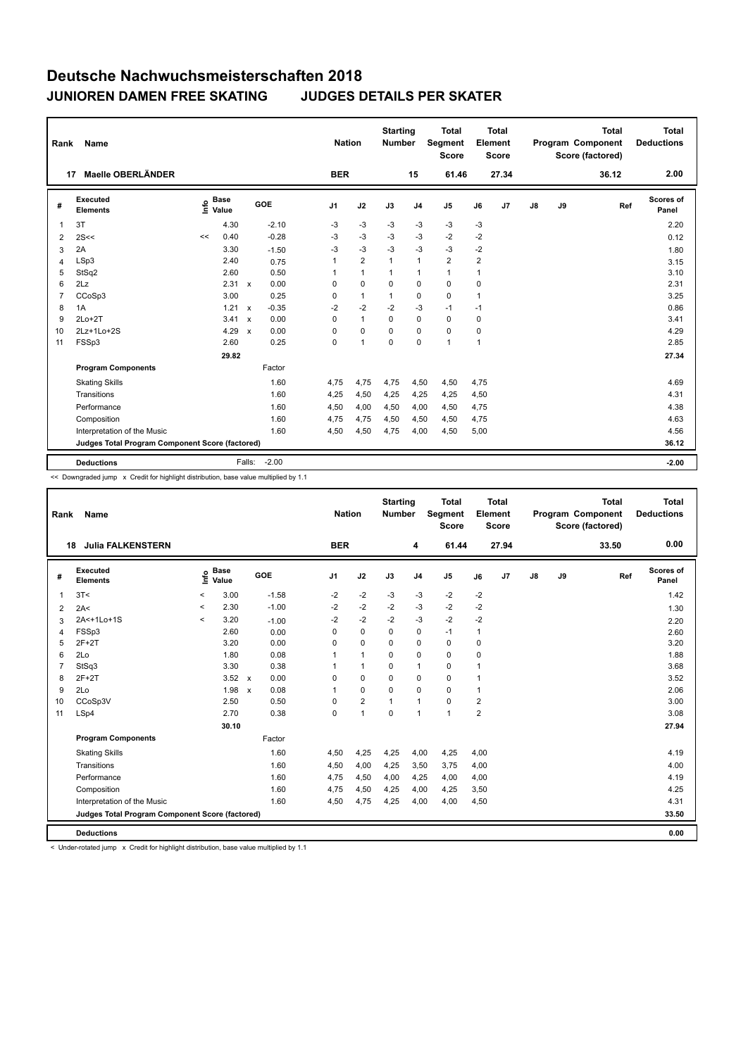| Rank           | <b>Name</b>                                     |    |                                           |                           |         | <b>Nation</b>  |                | <b>Starting</b><br><b>Number</b> |                | <b>Total</b><br>Segment<br><b>Score</b> |      | <b>Total</b><br>Element<br><b>Score</b> |    |    | <b>Total</b><br>Program Component<br>Score (factored) | <b>Total</b><br><b>Deductions</b> |
|----------------|-------------------------------------------------|----|-------------------------------------------|---------------------------|---------|----------------|----------------|----------------------------------|----------------|-----------------------------------------|------|-----------------------------------------|----|----|-------------------------------------------------------|-----------------------------------|
| 17             | Maelle OBERLÄNDER                               |    |                                           |                           |         | <b>BER</b>     |                |                                  | 15             | 61.46                                   |      | 27.34                                   |    |    | 36.12                                                 | 2.00                              |
| #              | <b>Executed</b><br><b>Elements</b>              |    | $\frac{e}{E}$ Base<br>$\frac{E}{E}$ Value |                           | GOE     | J <sub>1</sub> | J2             | J3                               | J <sub>4</sub> | J <sub>5</sub>                          | J6   | J <sub>7</sub>                          | J8 | J9 | Ref                                                   | Scores of<br>Panel                |
| $\overline{1}$ | 3T                                              |    | 4.30                                      |                           | $-2.10$ | -3             | $-3$           | $-3$                             | $-3$           | $-3$                                    | $-3$ |                                         |    |    |                                                       | 2.20                              |
| 2              | 2S<<                                            | << | 0.40                                      |                           | $-0.28$ | -3             | $-3$           | -3                               | $-3$           | $-2$                                    | $-2$ |                                         |    |    |                                                       | 0.12                              |
| 3              | 2A                                              |    | 3.30                                      |                           | $-1.50$ | -3             | $-3$           | $-3$                             | $-3$           | $-3$                                    | $-2$ |                                         |    |    |                                                       | 1.80                              |
| 4              | LSp3                                            |    | 2.40                                      |                           | 0.75    | 1              | $\overline{2}$ | $\mathbf{1}$                     | $\mathbf{1}$   | $\overline{2}$                          | 2    |                                         |    |    |                                                       | 3.15                              |
| 5              | StSq2                                           |    | 2.60                                      |                           | 0.50    |                | $\mathbf{1}$   | 1                                | $\mathbf{1}$   | 1                                       | 1    |                                         |    |    |                                                       | 3.10                              |
| 6              | 2Lz                                             |    | 2.31                                      | $\mathsf{x}$              | 0.00    | 0              | $\mathbf 0$    | 0                                | $\mathbf 0$    | $\mathbf 0$                             | 0    |                                         |    |    |                                                       | 2.31                              |
| $\overline{7}$ | CCoSp3                                          |    | 3.00                                      |                           | 0.25    | 0              | $\mathbf{1}$   | $\mathbf{1}$                     | $\pmb{0}$      | $\mathbf 0$                             | 1    |                                         |    |    |                                                       | 3.25                              |
| 8              | 1A                                              |    | 1.21                                      | $\mathsf{x}$              | $-0.35$ | $-2$           | $-2$           | $-2$                             | $-3$           | $-1$                                    | $-1$ |                                         |    |    |                                                       | 0.86                              |
| 9              | $2Lo+2T$                                        |    | 3.41                                      | $\boldsymbol{\mathsf{x}}$ | 0.00    | $\Omega$       | $\mathbf{1}$   | $\Omega$                         | $\mathbf 0$    | $\mathbf 0$                             | 0    |                                         |    |    |                                                       | 3.41                              |
| 10             | $2Lz+1Lo+2S$                                    |    | 4.29                                      | $\boldsymbol{\mathsf{x}}$ | 0.00    | $\Omega$       | $\Omega$       | $\Omega$                         | $\Omega$       | $\mathbf 0$                             | 0    |                                         |    |    |                                                       | 4.29                              |
| 11             | FSSp3                                           |    | 2.60                                      |                           | 0.25    | 0              | $\overline{1}$ | $\mathbf 0$                      | $\mathbf 0$    | $\mathbf{1}$                            | 1    |                                         |    |    |                                                       | 2.85                              |
|                |                                                 |    | 29.82                                     |                           |         |                |                |                                  |                |                                         |      |                                         |    |    |                                                       | 27.34                             |
|                | <b>Program Components</b>                       |    |                                           |                           | Factor  |                |                |                                  |                |                                         |      |                                         |    |    |                                                       |                                   |
|                | <b>Skating Skills</b>                           |    |                                           |                           | 1.60    | 4,75           | 4,75           | 4,75                             | 4,50           | 4,50                                    | 4,75 |                                         |    |    |                                                       | 4.69                              |
|                | Transitions                                     |    |                                           |                           | 1.60    | 4,25           | 4,50           | 4,25                             | 4,25           | 4,25                                    | 4,50 |                                         |    |    |                                                       | 4.31                              |
|                | Performance                                     |    |                                           |                           | 1.60    | 4,50           | 4,00           | 4,50                             | 4,00           | 4,50                                    | 4,75 |                                         |    |    |                                                       | 4.38                              |
|                | Composition                                     |    |                                           |                           | 1.60    | 4,75           | 4,75           | 4,50                             | 4,50           | 4,50                                    | 4,75 |                                         |    |    |                                                       | 4.63                              |
|                | Interpretation of the Music                     |    |                                           |                           | 1.60    | 4,50           | 4,50           | 4,75                             | 4,00           | 4,50                                    | 5,00 |                                         |    |    |                                                       | 4.56                              |
|                | Judges Total Program Component Score (factored) |    |                                           |                           |         |                |                |                                  |                |                                         |      |                                         |    |    |                                                       | 36.12                             |
|                | <b>Deductions</b>                               |    |                                           | Falls:                    | $-2.00$ |                |                |                                  |                |                                         |      |                                         |    |    |                                                       | $-2.00$                           |

<< Downgraded jump x Credit for highlight distribution, base value multiplied by 1.1

| Rank           | Name                                            |       |                      |              |         |                | <b>Nation</b>  | <b>Starting</b><br><b>Number</b> |                | <b>Total</b><br>Segment<br><b>Score</b> |                | <b>Total</b><br>Element<br><b>Score</b> |               |    | <b>Total</b><br>Program Component<br>Score (factored) | <b>Total</b><br><b>Deductions</b> |
|----------------|-------------------------------------------------|-------|----------------------|--------------|---------|----------------|----------------|----------------------------------|----------------|-----------------------------------------|----------------|-----------------------------------------|---------------|----|-------------------------------------------------------|-----------------------------------|
| 18             | <b>Julia FALKENSTERN</b>                        |       |                      |              |         | <b>BER</b>     |                |                                  | 4              | 61.44                                   |                | 27.94                                   |               |    | 33.50                                                 | 0.00                              |
| #              | <b>Executed</b><br><b>Elements</b>              | Info  | <b>Base</b><br>Value |              | GOE     | J <sub>1</sub> | J2             | J3                               | J <sub>4</sub> | J5                                      | J6             | J7                                      | $\mathsf{J}8$ | J9 | Ref                                                   | Scores of<br>Panel                |
| 1              | 3T<                                             | $\,<$ | 3.00                 |              | $-1.58$ | $-2$           | $-2$           | -3                               | $-3$           | $-2$                                    | $-2$           |                                         |               |    |                                                       | 1.42                              |
| $\overline{2}$ | 2A<                                             | $\,<$ | 2.30                 |              | $-1.00$ | $-2$           | $-2$           | $-2$                             | $-3$           | $-2$                                    | $-2$           |                                         |               |    |                                                       | 1.30                              |
| 3              | 2A<+1Lo+1S                                      | $\,<$ | 3.20                 |              | $-1.00$ | $-2$           | $-2$           | $-2$                             | $-3$           | $-2$                                    | $-2$           |                                         |               |    |                                                       | 2.20                              |
| 4              | FSSp3                                           |       | 2.60                 |              | 0.00    | 0              | $\mathbf 0$    | 0                                | 0              | $-1$                                    | 1              |                                         |               |    |                                                       | 2.60                              |
| 5              | $2F+2T$                                         |       | 3.20                 |              | 0.00    | 0              | $\mathbf 0$    | 0                                | 0              | 0                                       | 0              |                                         |               |    |                                                       | 3.20                              |
| 6              | 2Lo                                             |       | 1.80                 |              | 0.08    |                | 1              | $\Omega$                         | 0              | 0                                       | 0              |                                         |               |    |                                                       | 1.88                              |
| 7              | StSq3                                           |       | 3.30                 |              | 0.38    |                | $\mathbf{1}$   | $\mathbf 0$                      | $\mathbf{1}$   | 0                                       | 1              |                                         |               |    |                                                       | 3.68                              |
| 8              | $2F+2T$                                         |       | $3.52 \times$        |              | 0.00    | 0              | $\mathbf 0$    | $\mathbf 0$                      | $\mathbf 0$    | 0                                       |                |                                         |               |    |                                                       | 3.52                              |
| 9              | 2Lo                                             |       | 1.98                 | $\mathsf{x}$ | 0.08    |                | $\mathbf 0$    | $\mathbf 0$                      | $\mathbf 0$    | 0                                       | $\overline{1}$ |                                         |               |    |                                                       | 2.06                              |
| 10             | CCoSp3V                                         |       | 2.50                 |              | 0.50    | $\Omega$       | $\overline{2}$ | $\mathbf{1}$                     | $\mathbf{1}$   | 0                                       | $\overline{2}$ |                                         |               |    |                                                       | 3.00                              |
| 11             | LSp4                                            |       | 2.70                 |              | 0.38    | 0              | $\mathbf{1}$   | $\mathbf 0$                      | 1              | 1                                       | $\overline{2}$ |                                         |               |    |                                                       | 3.08                              |
|                |                                                 |       | 30.10                |              |         |                |                |                                  |                |                                         |                |                                         |               |    |                                                       | 27.94                             |
|                | <b>Program Components</b>                       |       |                      |              | Factor  |                |                |                                  |                |                                         |                |                                         |               |    |                                                       |                                   |
|                | <b>Skating Skills</b>                           |       |                      |              | 1.60    | 4,50           | 4,25           | 4,25                             | 4,00           | 4,25                                    | 4,00           |                                         |               |    |                                                       | 4.19                              |
|                | Transitions                                     |       |                      |              | 1.60    | 4,50           | 4,00           | 4,25                             | 3,50           | 3,75                                    | 4,00           |                                         |               |    |                                                       | 4.00                              |
|                | Performance                                     |       |                      |              | 1.60    | 4,75           | 4,50           | 4,00                             | 4,25           | 4,00                                    | 4,00           |                                         |               |    |                                                       | 4.19                              |
|                | Composition                                     |       |                      |              | 1.60    | 4,75           | 4,50           | 4,25                             | 4,00           | 4,25                                    | 3,50           |                                         |               |    |                                                       | 4.25                              |
|                | Interpretation of the Music                     |       |                      |              | 1.60    | 4,50           | 4,75           | 4,25                             | 4,00           | 4,00                                    | 4,50           |                                         |               |    |                                                       | 4.31                              |
|                | Judges Total Program Component Score (factored) |       |                      |              |         |                |                |                                  |                |                                         |                |                                         |               |    |                                                       | 33.50                             |
|                | <b>Deductions</b>                               |       |                      |              |         |                |                |                                  |                |                                         |                |                                         |               |    |                                                       | 0.00                              |

< Under-rotated jump x Credit for highlight distribution, base value multiplied by 1.1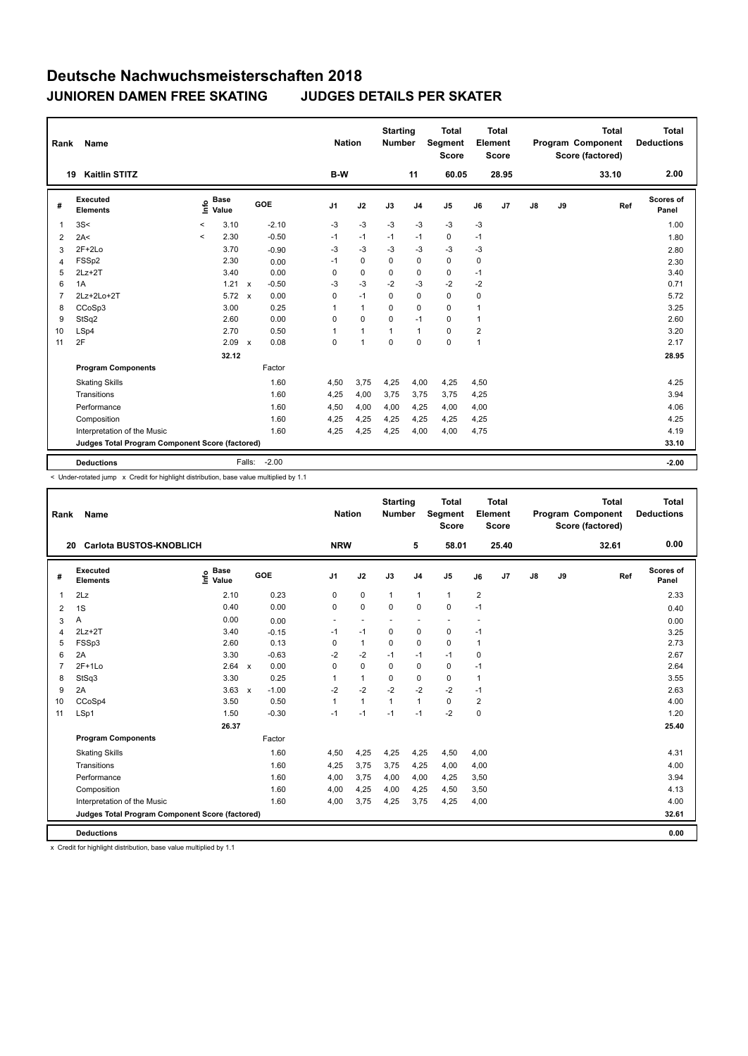| Rank           | Name                                            |         |                      |                           |         | <b>Nation</b>  |                | <b>Starting</b><br><b>Number</b> |                | <b>Total</b><br>Segment<br><b>Score</b> |                | <b>Total</b><br>Element<br><b>Score</b> |               |    | <b>Total</b><br>Program Component<br>Score (factored) | <b>Total</b><br><b>Deductions</b> |
|----------------|-------------------------------------------------|---------|----------------------|---------------------------|---------|----------------|----------------|----------------------------------|----------------|-----------------------------------------|----------------|-----------------------------------------|---------------|----|-------------------------------------------------------|-----------------------------------|
|                | <b>Kaitlin STITZ</b><br>19                      |         |                      |                           |         | B-W            |                |                                  | 11             | 60.05                                   |                | 28.95                                   |               |    | 33.10                                                 | 2.00                              |
| #              | Executed<br><b>Elements</b>                     | ١nfo    | <b>Base</b><br>Value |                           | GOE     | J <sub>1</sub> | J2             | J3                               | J <sub>4</sub> | J <sub>5</sub>                          | J6             | J7                                      | $\mathsf{J}8$ | J9 | Ref                                                   | Scores of<br>Panel                |
| 1              | 3S<                                             | $\prec$ | 3.10                 |                           | $-2.10$ | $-3$           | $-3$           | $-3$                             | $-3$           | $-3$                                    | $-3$           |                                         |               |    |                                                       | 1.00                              |
| 2              | 2A<                                             | $\,<$   | 2.30                 |                           | $-0.50$ | $-1$           | $-1$           | $-1$                             | $-1$           | $\mathbf 0$                             | $-1$           |                                         |               |    |                                                       | 1.80                              |
| 3              | $2F+2Lo$                                        |         | 3.70                 |                           | $-0.90$ | -3             | $-3$           | $-3$                             | $-3$           | $-3$                                    | $-3$           |                                         |               |    |                                                       | 2.80                              |
| 4              | FSSp2                                           |         | 2.30                 |                           | 0.00    | $-1$           | $\mathbf 0$    | $\Omega$                         | $\mathbf 0$    | $\Omega$                                | 0              |                                         |               |    |                                                       | 2.30                              |
| 5              | $2Lz+2T$                                        |         | 3.40                 |                           | 0.00    | 0              | $\mathbf 0$    | $\mathbf 0$                      | $\pmb{0}$      | 0                                       | $-1$           |                                         |               |    |                                                       | 3.40                              |
| 6              | 1A                                              |         | $1.21 \times$        |                           | $-0.50$ | $-3$           | $-3$           | $-2$                             | $-3$           | $-2$                                    | $-2$           |                                         |               |    |                                                       | 0.71                              |
| $\overline{7}$ | 2Lz+2Lo+2T                                      |         | 5.72                 | $\mathsf{x}$              | 0.00    | 0              | $-1$           | $\mathbf 0$                      | $\mathbf 0$    | $\mathbf 0$                             | 0              |                                         |               |    |                                                       | 5.72                              |
| 8              | CCoSp3                                          |         | 3.00                 |                           | 0.25    | 1              | $\mathbf{1}$   | $\Omega$                         | $\mathbf 0$    | $\Omega$                                | 1              |                                         |               |    |                                                       | 3.25                              |
| 9              | StSq2                                           |         | 2.60                 |                           | 0.00    | 0              | $\mathbf 0$    | $\mathbf 0$                      | $-1$           | 0                                       | 1              |                                         |               |    |                                                       | 2.60                              |
| 10             | LSp4                                            |         | 2.70                 |                           | 0.50    | 1              | $\overline{1}$ | $\overline{1}$                   | $\mathbf{1}$   | $\mathbf 0$                             | $\overline{2}$ |                                         |               |    |                                                       | 3.20                              |
| 11             | 2F                                              |         | 2.09                 | $\boldsymbol{\mathsf{x}}$ | 0.08    | 0              | $\overline{1}$ | $\mathbf 0$                      | $\mathbf 0$    | $\mathbf 0$                             | 1              |                                         |               |    |                                                       | 2.17                              |
|                |                                                 |         | 32.12                |                           |         |                |                |                                  |                |                                         |                |                                         |               |    |                                                       | 28.95                             |
|                | <b>Program Components</b>                       |         |                      |                           | Factor  |                |                |                                  |                |                                         |                |                                         |               |    |                                                       |                                   |
|                | <b>Skating Skills</b>                           |         |                      |                           | 1.60    | 4,50           | 3,75           | 4,25                             | 4,00           | 4,25                                    | 4,50           |                                         |               |    |                                                       | 4.25                              |
|                | Transitions                                     |         |                      |                           | 1.60    | 4,25           | 4,00           | 3.75                             | 3.75           | 3.75                                    | 4,25           |                                         |               |    |                                                       | 3.94                              |
|                | Performance                                     |         |                      |                           | 1.60    | 4,50           | 4,00           | 4,00                             | 4,25           | 4,00                                    | 4,00           |                                         |               |    |                                                       | 4.06                              |
|                | Composition                                     |         |                      |                           | 1.60    | 4,25           | 4,25           | 4,25                             | 4,25           | 4,25                                    | 4,25           |                                         |               |    |                                                       | 4.25                              |
|                | Interpretation of the Music                     |         |                      |                           | 1.60    | 4,25           | 4,25           | 4,25                             | 4,00           | 4,00                                    | 4,75           |                                         |               |    |                                                       | 4.19                              |
|                | Judges Total Program Component Score (factored) |         |                      |                           |         |                |                |                                  |                |                                         |                |                                         |               |    |                                                       | 33.10                             |
|                | <b>Deductions</b>                               |         |                      | Falls:                    | $-2.00$ |                |                |                                  |                |                                         |                |                                         |               |    |                                                       | $-2.00$                           |

< Under-rotated jump x Credit for highlight distribution, base value multiplied by 1.1

| Rank           | Name                                            |                                  |              |         |                | <b>Nation</b>            | <b>Starting</b><br><b>Number</b> |                | <b>Total</b><br>Segment<br><b>Score</b> |                         | <b>Total</b><br>Element<br><b>Score</b> |               |    | <b>Total</b><br>Program Component<br>Score (factored) |     | <b>Total</b><br><b>Deductions</b> |
|----------------|-------------------------------------------------|----------------------------------|--------------|---------|----------------|--------------------------|----------------------------------|----------------|-----------------------------------------|-------------------------|-----------------------------------------|---------------|----|-------------------------------------------------------|-----|-----------------------------------|
|                | <b>Carlota BUSTOS-KNOBLICH</b><br>20            |                                  |              |         | <b>NRW</b>     |                          |                                  | 5              | 58.01                                   |                         | 25.40                                   |               |    | 32.61                                                 |     | 0.00                              |
| #              | <b>Executed</b><br><b>Elements</b>              | <b>Base</b><br>e Base<br>⊆ Value |              | GOE     | J <sub>1</sub> | J2                       | J3                               | J <sub>4</sub> | J5                                      | J6                      | J7                                      | $\mathsf{J}8$ | J9 |                                                       | Ref | <b>Scores of</b><br>Panel         |
| 1              | 2Lz                                             | 2.10                             |              | 0.23    | 0              | 0                        | $\mathbf{1}$                     | $\mathbf{1}$   | $\mathbf{1}$                            | $\overline{\mathbf{c}}$ |                                         |               |    |                                                       |     | 2.33                              |
| $\overline{2}$ | 1S                                              | 0.40                             |              | 0.00    | 0              | $\mathbf 0$              | $\Omega$                         | $\mathbf 0$    | 0                                       | $-1$                    |                                         |               |    |                                                       |     | 0.40                              |
| 3              | Α                                               | 0.00                             |              | 0.00    | ٠              | $\overline{\phantom{a}}$ |                                  |                |                                         |                         |                                         |               |    |                                                       |     | 0.00                              |
| 4              | $2Lz+2T$                                        | 3.40                             |              | $-0.15$ | $-1$           | $-1$                     | 0                                | 0              | 0                                       | $-1$                    |                                         |               |    |                                                       |     | 3.25                              |
| 5              | FSSp3                                           | 2.60                             |              | 0.13    | 0              | $\mathbf{1}$             | $\Omega$                         | 0              | 0                                       | $\mathbf{1}$            |                                         |               |    |                                                       |     | 2.73                              |
| 6              | 2A                                              | 3.30                             |              | $-0.63$ | $-2$           | $-2$                     | $-1$                             | $-1$           | $-1$                                    | 0                       |                                         |               |    |                                                       |     | 2.67                              |
| $\overline{7}$ | $2F+1Lo$                                        | 2.64 x                           |              | 0.00    | 0              | $\mathbf 0$              | 0                                | 0              | 0                                       | $-1$                    |                                         |               |    |                                                       |     | 2.64                              |
| 8              | StSq3                                           | 3.30                             |              | 0.25    | 1              | $\mathbf{1}$             | $\Omega$                         | $\mathbf 0$    | 0                                       | $\overline{1}$          |                                         |               |    |                                                       |     | 3.55                              |
| 9              | 2A                                              | 3.63                             | $\mathsf{x}$ | $-1.00$ | $-2$           | $-2$                     | $-2$                             | $-2$           | $-2$                                    | $-1$                    |                                         |               |    |                                                       |     | 2.63                              |
| 10             | CCoSp4                                          | 3.50                             |              | 0.50    | 1              | $\mathbf{1}$             | $\mathbf{1}$                     | $\mathbf{1}$   | 0                                       | 2                       |                                         |               |    |                                                       |     | 4.00                              |
| 11             | LSp1                                            | 1.50                             |              | $-0.30$ | $-1$           | $-1$                     | $-1$                             | $-1$           | $-2$                                    | 0                       |                                         |               |    |                                                       |     | 1.20                              |
|                |                                                 | 26.37                            |              |         |                |                          |                                  |                |                                         |                         |                                         |               |    |                                                       |     | 25.40                             |
|                | <b>Program Components</b>                       |                                  |              | Factor  |                |                          |                                  |                |                                         |                         |                                         |               |    |                                                       |     |                                   |
|                | <b>Skating Skills</b>                           |                                  |              | 1.60    | 4,50           | 4,25                     | 4,25                             | 4,25           | 4,50                                    | 4,00                    |                                         |               |    |                                                       |     | 4.31                              |
|                | Transitions                                     |                                  |              | 1.60    | 4,25           | 3,75                     | 3,75                             | 4,25           | 4,00                                    | 4,00                    |                                         |               |    |                                                       |     | 4.00                              |
|                | Performance                                     |                                  |              | 1.60    | 4,00           | 3,75                     | 4,00                             | 4,00           | 4,25                                    | 3,50                    |                                         |               |    |                                                       |     | 3.94                              |
|                | Composition                                     |                                  |              | 1.60    | 4,00           | 4,25                     | 4,00                             | 4,25           | 4,50                                    | 3,50                    |                                         |               |    |                                                       |     | 4.13                              |
|                | Interpretation of the Music                     |                                  |              | 1.60    | 4,00           | 3,75                     | 4,25                             | 3,75           | 4,25                                    | 4,00                    |                                         |               |    |                                                       |     | 4.00                              |
|                | Judges Total Program Component Score (factored) |                                  |              |         |                |                          |                                  |                |                                         |                         |                                         |               |    |                                                       |     | 32.61                             |
|                | <b>Deductions</b>                               |                                  |              |         |                |                          |                                  |                |                                         |                         |                                         |               |    |                                                       |     | 0.00                              |